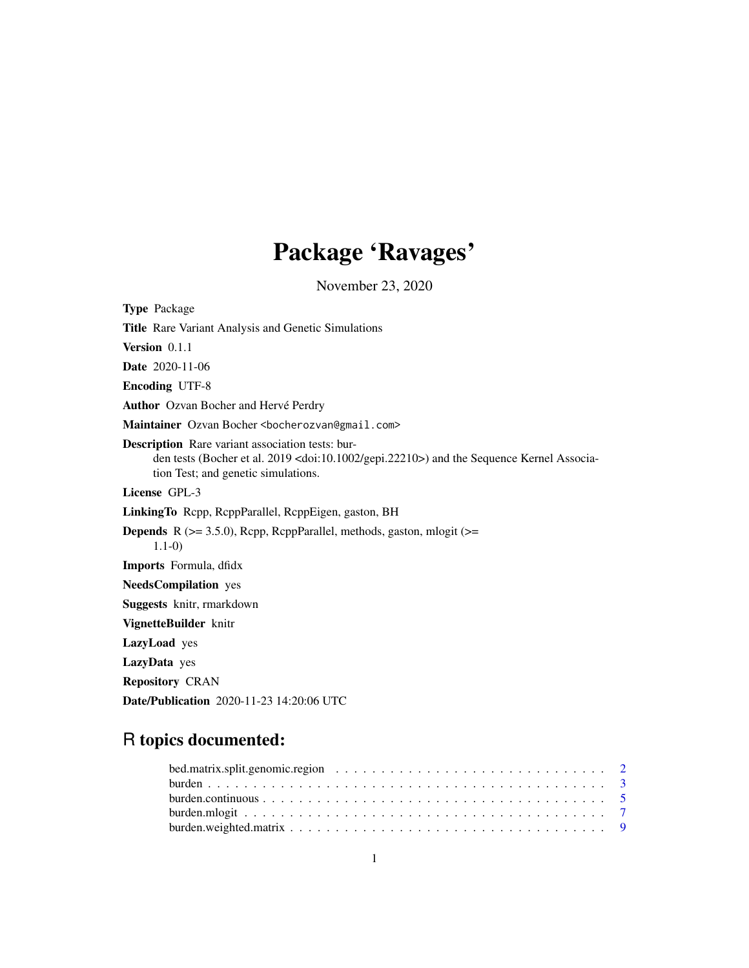# Package 'Ravages'

November 23, 2020

| <b>Type Package</b>                                                                                                                                                                                          |
|--------------------------------------------------------------------------------------------------------------------------------------------------------------------------------------------------------------|
| <b>Title</b> Rare Variant Analysis and Genetic Simulations                                                                                                                                                   |
| Version $0.1.1$                                                                                                                                                                                              |
| <b>Date</b> 2020-11-06                                                                                                                                                                                       |
| <b>Encoding UTF-8</b>                                                                                                                                                                                        |
| Author Ozvan Bocher and Hervé Perdry                                                                                                                                                                         |
| Maintainer Ozvan Bocher <bocherozvan@gmail.com></bocherozvan@gmail.com>                                                                                                                                      |
| <b>Description</b> Rare variant association tests: bur-<br>den tests (Bocher et al. 2019 <doi:10.1002 gepi.22210="">) and the Sequence Kernel Associa-<br/>tion Test; and genetic simulations.</doi:10.1002> |
| License GPL-3                                                                                                                                                                                                |
| LinkingTo Repp, ReppParallel, ReppEigen, gaston, BH                                                                                                                                                          |
| <b>Depends</b> R ( $> = 3.5.0$ ), Rcpp, RcppParallel, methods, gaston, mlogit ( $> =$<br>$1.1-0)$                                                                                                            |
| Imports Formula, dfidx                                                                                                                                                                                       |
| <b>NeedsCompilation</b> yes                                                                                                                                                                                  |
| Suggests knitr, rmarkdown                                                                                                                                                                                    |
| VignetteBuilder knitr                                                                                                                                                                                        |
| LazyLoad yes                                                                                                                                                                                                 |
| LazyData yes                                                                                                                                                                                                 |
| <b>Repository CRAN</b>                                                                                                                                                                                       |

Date/Publication 2020-11-23 14:20:06 UTC

# R topics documented: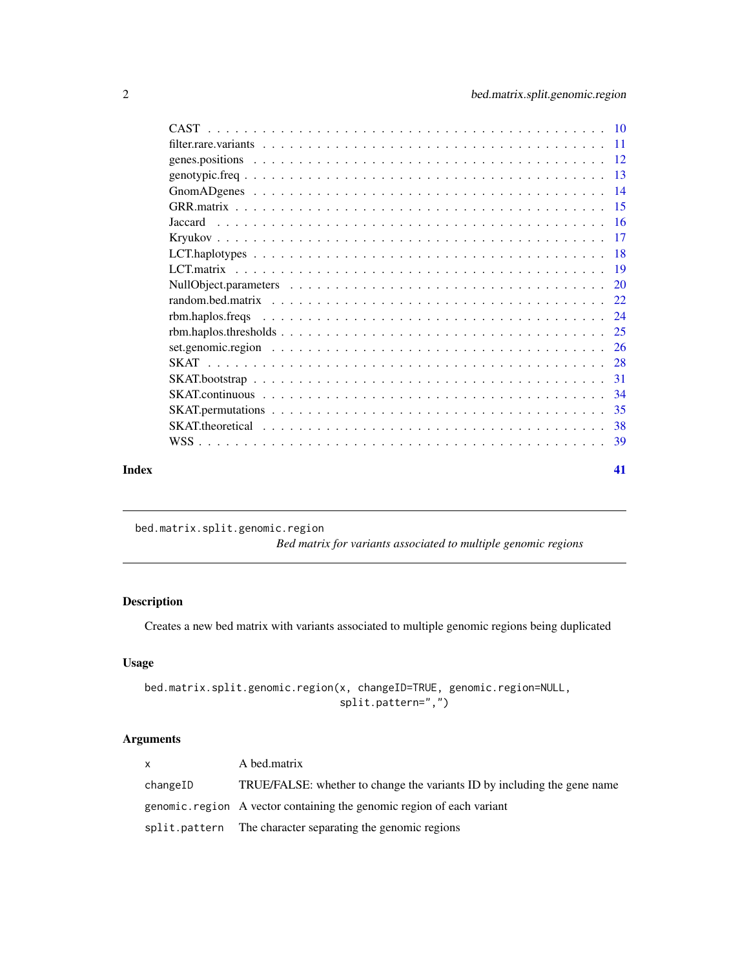<span id="page-1-0"></span>

| Index | 41 |
|-------|----|

bed.matrix.split.genomic.region

*Bed matrix for variants associated to multiple genomic regions*

## Description

Creates a new bed matrix with variants associated to multiple genomic regions being duplicated

### Usage

```
bed.matrix.split.genomic.region(x, changeID=TRUE, genomic.region=NULL,
                                split.pattern=",")
```
## Arguments

| X.       | A bed.matrix                                                             |
|----------|--------------------------------------------------------------------------|
| changeID | TRUE/FALSE: whether to change the variants ID by including the gene name |
|          | genomic. region A vector containing the genomic region of each variant   |
|          | split.pattern The character separating the genomic regions               |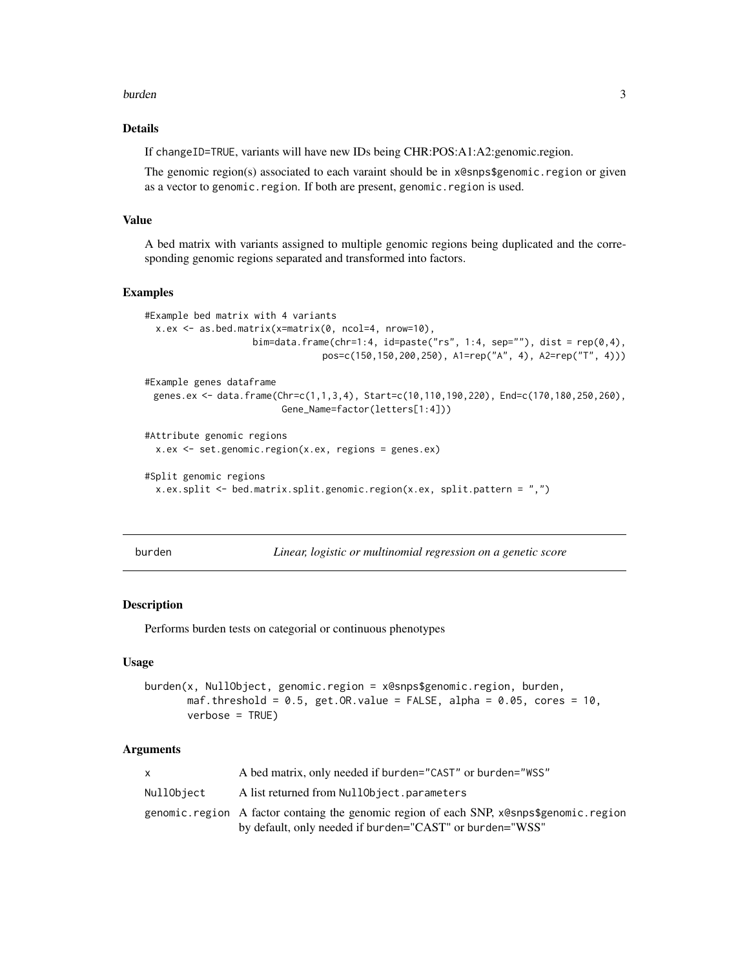#### <span id="page-2-0"></span>burden 33 and 33 and 33 and 33 and 33 and 33 and 33 and 33 and 33 and 33 and 33 and 33 and 33 and 33 and 33 and 33 and 33 and 33 and 33 and 33 and 33 and 33 and 33 and 33 and 33 and 33 and 33 and 33 and 33 and 33 and 33 an

### Details

If changeID=TRUE, variants will have new IDs being CHR:POS:A1:A2:genomic.region.

The genomic region(s) associated to each varaint should be in x@snps\$genomic.region or given as a vector to genomic.region. If both are present, genomic.region is used.

### Value

A bed matrix with variants assigned to multiple genomic regions being duplicated and the corresponding genomic regions separated and transformed into factors.

#### Examples

```
#Example bed matrix with 4 variants
 x.ex <- as.bed.matrix(x=matrix(0, ncol=4, nrow=10),
                    bim=data.frame(chr=1:4, id=paste("rs", 1:4, sep=""), dist = rep(0,4),
                                pos=c(150,150,200,250), A1=rep("A", 4), A2=rep("T", 4)))
#Example genes dataframe
 genes.ex <- data.frame(Chr=c(1,1,3,4), Start=c(10,110,190,220), End=c(170,180,250,260),
                        Gene_Name=factor(letters[1:4]))
#Attribute genomic regions
 x.ex <- set.genomic.region(x.ex, regions = genes.ex)
#Split genomic regions
 x.ex.split <- bed.matrix.split.genomic.region(x.ex, split.pattern = ",")
```
<span id="page-2-1"></span>

Linear, logistic or multinomial regression on a genetic score

#### Description

Performs burden tests on categorial or continuous phenotypes

### Usage

```
burden(x, NullObject, genomic.region = x@snps$genomic.region, burden,
      maf.threshold = 0.5, get.OR.value = FALSE, alpha = 0.05, cores = 10,
       verbose = TRUE)
```
#### Arguments

|            | A bed matrix, only needed if burden="CAST" or burden="WSS"                                                                                          |
|------------|-----------------------------------------------------------------------------------------------------------------------------------------------------|
| NullObiect | A list returned from NullObject.parameters                                                                                                          |
|            | genomic.region A factor containg the genomic region of each SNP, x@snps\$genomic.region<br>by default, only needed if burden="CAST" or burden="WSS" |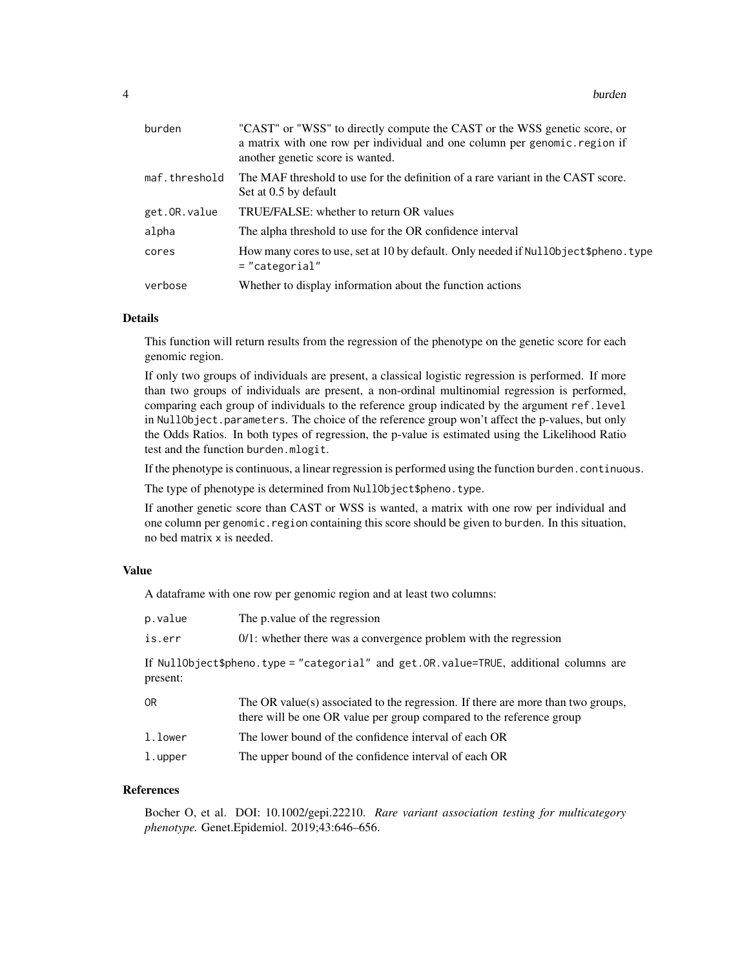| burden        | "CAST" or "WSS" to directly compute the CAST or the WSS genetic score, or<br>a matrix with one row per individual and one column per genomic. region if<br>another genetic score is wanted. |
|---------------|---------------------------------------------------------------------------------------------------------------------------------------------------------------------------------------------|
| maf.threshold | The MAF threshold to use for the definition of a rare variant in the CAST score.<br>Set at 0.5 by default                                                                                   |
| get.OR.value  | TRUE/FALSE: whether to return OR values                                                                                                                                                     |
| alpha         | The alpha threshold to use for the OR confidence interval                                                                                                                                   |
| cores         | How many cores to use, set at 10 by default. Only needed if Nullon bject \$pheno. type<br>$=$ "categorial"                                                                                  |
| verbose       | Whether to display information about the function actions                                                                                                                                   |

### Details

This function will return results from the regression of the phenotype on the genetic score for each genomic region.

If only two groups of individuals are present, a classical logistic regression is performed. If more than two groups of individuals are present, a non-ordinal multinomial regression is performed, comparing each group of individuals to the reference group indicated by the argument ref.level in NullObject.parameters. The choice of the reference group won't affect the p-values, but only the Odds Ratios. In both types of regression, the p-value is estimated using the Likelihood Ratio test and the function burden.mlogit.

If the phenotype is continuous, a linear regression is performed using the function burden.continuous.

The type of phenotype is determined from NullObject\$pheno.type.

If another genetic score than CAST or WSS is wanted, a matrix with one row per individual and one column per genomic. region containing this score should be given to burden. In this situation, no bed matrix x is needed.

#### Value

A dataframe with one row per genomic region and at least two columns:

| p.value  | The p value of the regression                                                                                                                            |
|----------|----------------------------------------------------------------------------------------------------------------------------------------------------------|
| is.err   | $0/1$ : whether there was a convergence problem with the regression                                                                                      |
| present: | If NullObject\$pheno.type = "categorial" and get.OR.value=TRUE, additional columns are                                                                   |
| 0R       | The OR value(s) associated to the regression. If there are more than two groups,<br>there will be one OR value per group compared to the reference group |
| l.lower  | The lower bound of the confidence interval of each OR                                                                                                    |
| l.upper  | The upper bound of the confidence interval of each OR                                                                                                    |

#### References

Bocher O, et al. DOI: 10.1002/gepi.22210. *Rare variant association testing for multicategory phenotype.* Genet.Epidemiol. 2019;43:646–656.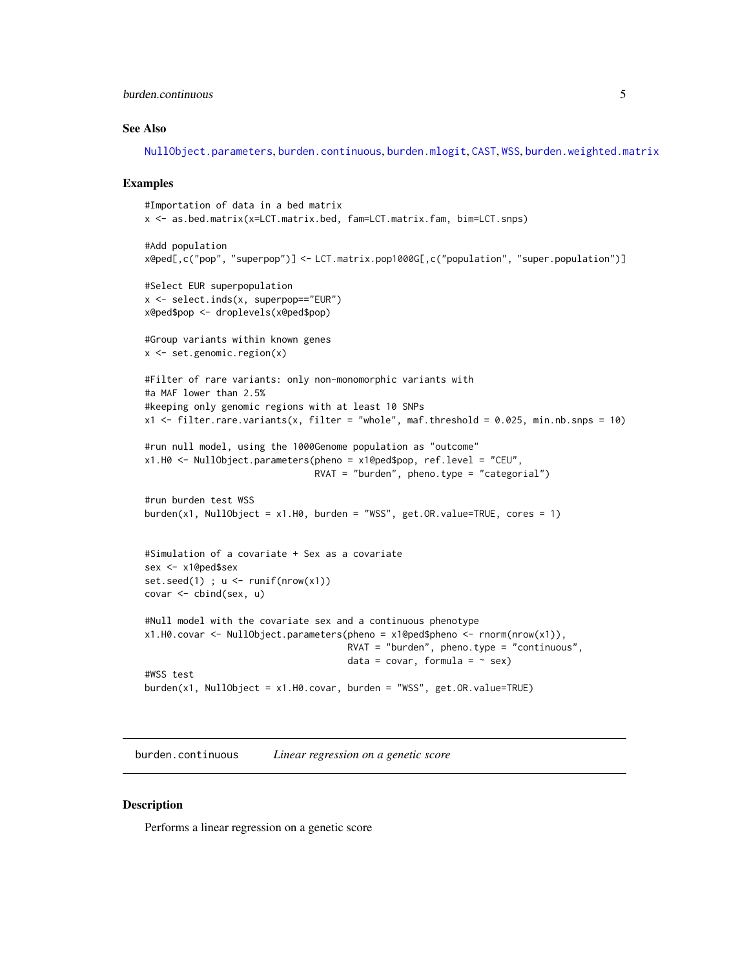### <span id="page-4-0"></span>burden.continuous 5

#### See Also

[NullObject.parameters](#page-19-1), [burden.continuous](#page-4-1), [burden.mlogit](#page-6-1), [CAST](#page-9-1), [WSS](#page-38-1), [burden.weighted.matrix](#page-8-1)

#### Examples

```
#Importation of data in a bed matrix
x <- as.bed.matrix(x=LCT.matrix.bed, fam=LCT.matrix.fam, bim=LCT.snps)
#Add population
x@ped[,c("pop", "superpop")] <- LCT.matrix.pop1000G[,c("population", "super.population")]
#Select EUR superpopulation
x <- select.inds(x, superpop=="EUR")
x@ped$pop <- droplevels(x@ped$pop)
#Group variants within known genes
x <- set.genomic.region(x)
#Filter of rare variants: only non-monomorphic variants with
#a MAF lower than 2.5%
#keeping only genomic regions with at least 10 SNPs
x1 \le filter.rare.variants(x, filter = "whole", maf.threshold = 0.025, min.nb.snps = 10)
#run null model, using the 1000Genome population as "outcome"
x1.H0 <- NullObject.parameters(pheno = x1@ped$pop, ref.level = "CEU",
                               RVAT = "burch", pheno.type = "categorical")#run burden test WSS
burden(x1, NullObject = x1.H0, burden = "WSS", get.OR.value=TRUE, cores = 1)
#Simulation of a covariate + Sex as a covariate
sex <- x1@ped$sex
set.seed(1) ; u \leftarrow runif(nrow(x1))covar <- cbind(sex, u)
#Null model with the covariate sex and a continuous phenotype
x1.H0.covar <- NullObject.parameters(pheno = x1@ped$pheno <- rnorm(nrow(x1)),
                                     RVAT = "burden", pheno.type = "continuous",data = covar, formula = \sim sex)
#WSS test
burden(x1, NullObject = x1.H0.covar, burden = "WSS", get.OR.value=TRUE)
```
<span id="page-4-1"></span>burden.continuous *Linear regression on a genetic score*

#### **Description**

Performs a linear regression on a genetic score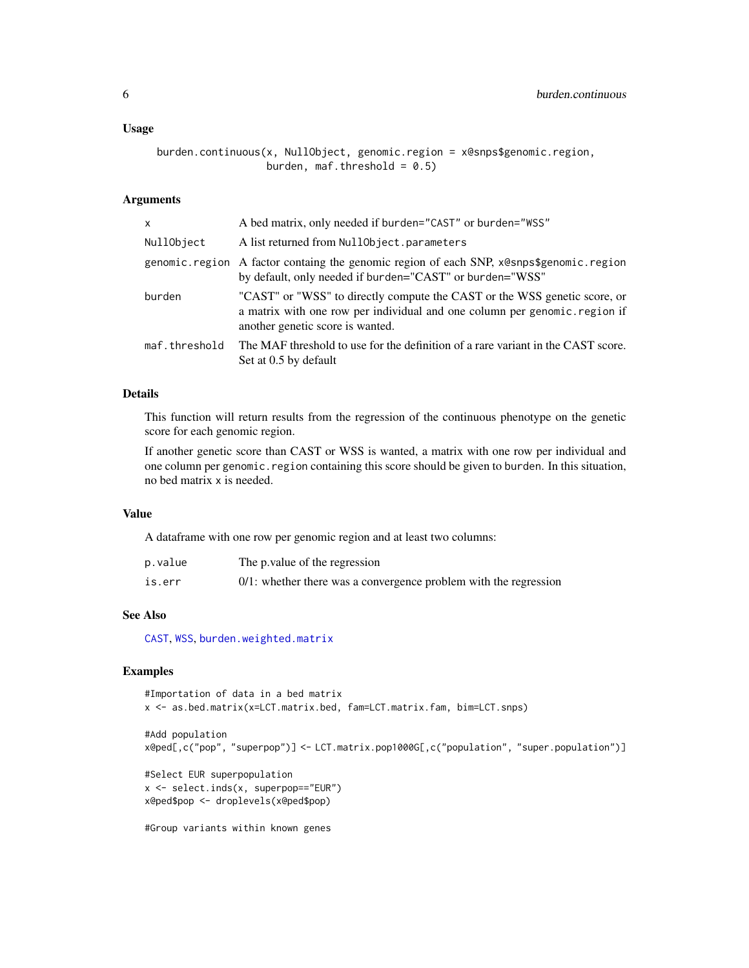#### <span id="page-5-0"></span>Usage

```
burden.continuous(x, NullObject, genomic.region = x@snps$genomic.region,
                  burden, maf.threshold = 0.5)
```
### Arguments

| x             | A bed matrix, only needed if burden="CAST" or burden="WSS"                                                                                                                                 |
|---------------|--------------------------------------------------------------------------------------------------------------------------------------------------------------------------------------------|
| NullObject    | A list returned from NullObject.parameters                                                                                                                                                 |
|               | genomic.region A factor containg the genomic region of each SNP, x@snps\$genomic.region<br>by default, only needed if burden="CAST" or burden="WSS"                                        |
| burden        | "CAST" or "WSS" to directly compute the CAST or the WSS genetic score, or<br>a matrix with one row per individual and one column per genomic.region if<br>another genetic score is wanted. |
| maf.threshold | The MAF threshold to use for the definition of a rare variant in the CAST score.<br>Set at 0.5 by default                                                                                  |

#### Details

This function will return results from the regression of the continuous phenotype on the genetic score for each genomic region.

If another genetic score than CAST or WSS is wanted, a matrix with one row per individual and one column per genomic. region containing this score should be given to burden. In this situation, no bed matrix x is needed.

### Value

A dataframe with one row per genomic region and at least two columns:

| p.value | The p value of the regression                                       |
|---------|---------------------------------------------------------------------|
| is.err  | $0/1$ : whether there was a convergence problem with the regression |

### See Also

[CAST](#page-9-1), [WSS](#page-38-1), [burden.weighted.matrix](#page-8-1)

```
#Importation of data in a bed matrix
x <- as.bed.matrix(x=LCT.matrix.bed, fam=LCT.matrix.fam, bim=LCT.snps)
#Add population
x@ped[,c("pop", "superpop")] <- LCT.matrix.pop1000G[,c("population", "super.population")]
#Select EUR superpopulation
x <- select.inds(x, superpop=="EUR")
x@ped$pop <- droplevels(x@ped$pop)
#Group variants within known genes
```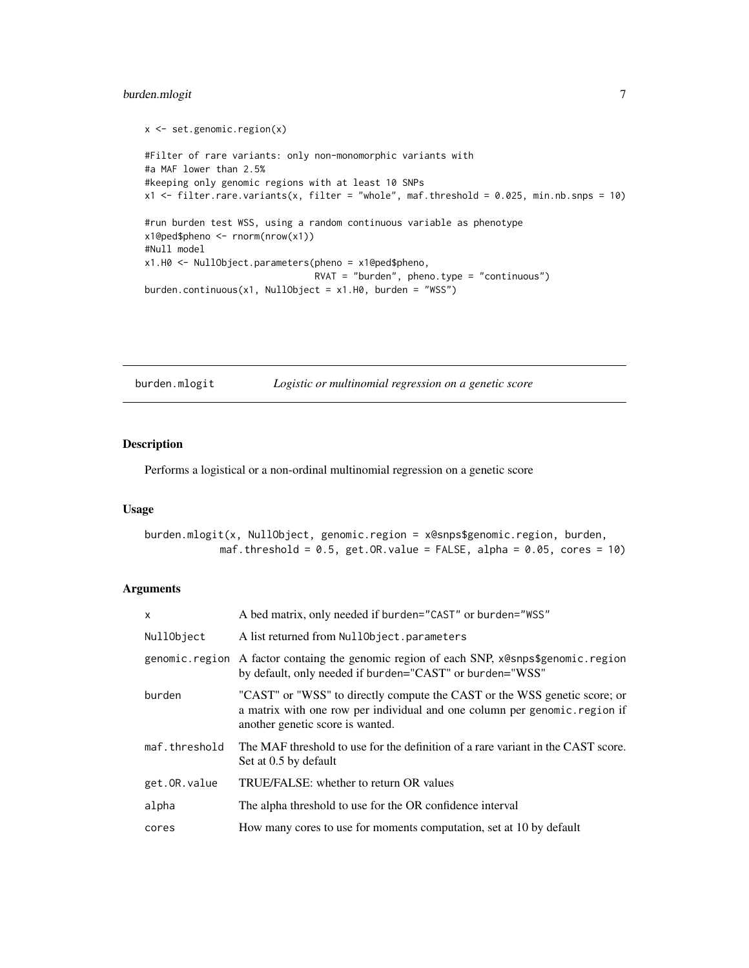### <span id="page-6-0"></span>burden.mlogit 7

```
x \le - set.genomic.region(x)
#Filter of rare variants: only non-monomorphic variants with
#a MAF lower than 2.5%
#keeping only genomic regions with at least 10 SNPs
x1 <- filter.rare.variants(x, filter = "whole", maf.threshold = 0.025, min.nb.snps = 10)
#run burden test WSS, using a random continuous variable as phenotype
x1@ped$pheno <- rnorm(nrow(x1))
#Null model
x1.H0 <- NullObject.parameters(pheno = x1@ped$pheno,
                               RVAT = "burden", pheno.type = "continuous")
burden.continuous(x1, NullObject = x1.H0, burden = "WSS")
```
<span id="page-6-1"></span>burden.mlogit *Logistic or multinomial regression on a genetic score*

### Description

Performs a logistical or a non-ordinal multinomial regression on a genetic score

#### Usage

```
burden.mlogit(x, NullObject, genomic.region = x@snps$genomic.region, burden,
            maf.threshold = 0.5, get.OR.value = FALSE, alpha = 0.05, cores = 10)
```
### Arguments

| $\mathsf{x}$  | A bed matrix, only needed if burden="CAST" or burden="WSS"                                                                                                                                  |
|---------------|---------------------------------------------------------------------------------------------------------------------------------------------------------------------------------------------|
| NullObject    | A list returned from NullObject.parameters                                                                                                                                                  |
|               | genomic region A factor containg the genomic region of each SNP, x@snps\$genomic region<br>by default, only needed if burden="CAST" or burden="WSS"                                         |
| burden        | "CAST" or "WSS" to directly compute the CAST or the WSS genetic score; or<br>a matrix with one row per individual and one column per genomic. region if<br>another genetic score is wanted. |
| maf.threshold | The MAF threshold to use for the definition of a rare variant in the CAST score.<br>Set at 0.5 by default                                                                                   |
| get.OR.value  | TRUE/FALSE: whether to return OR values                                                                                                                                                     |
| alpha         | The alpha threshold to use for the OR confidence interval                                                                                                                                   |
| cores         | How many cores to use for moments computation, set at 10 by default                                                                                                                         |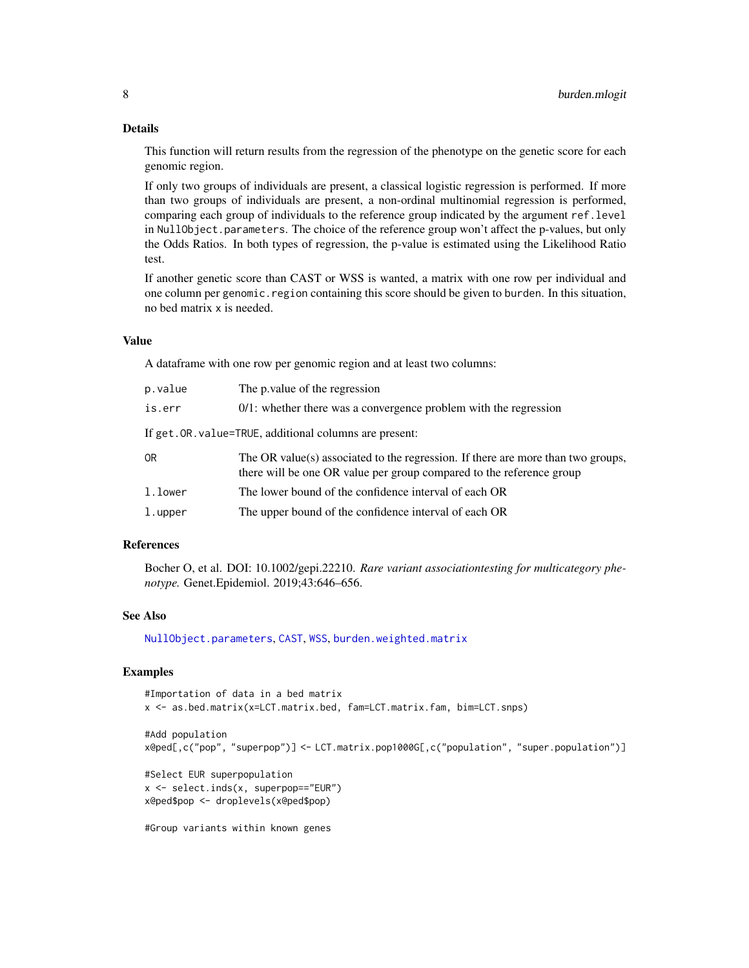### Details

This function will return results from the regression of the phenotype on the genetic score for each genomic region.

If only two groups of individuals are present, a classical logistic regression is performed. If more than two groups of individuals are present, a non-ordinal multinomial regression is performed, comparing each group of individuals to the reference group indicated by the argument ref.level in NullObject.parameters. The choice of the reference group won't affect the p-values, but only the Odds Ratios. In both types of regression, the p-value is estimated using the Likelihood Ratio test.

If another genetic score than CAST or WSS is wanted, a matrix with one row per individual and one column per genomic. region containing this score should be given to burden. In this situation, no bed matrix x is needed.

#### Value

A dataframe with one row per genomic region and at least two columns:

| p.value | The p value of the regression                                                                                                                            |
|---------|----------------------------------------------------------------------------------------------------------------------------------------------------------|
| is.err  | $0/1$ : whether there was a convergence problem with the regression                                                                                      |
|         | If get. OR. value=TRUE, additional columns are present:                                                                                                  |
| 0R      | The OR value(s) associated to the regression. If there are more than two groups,<br>there will be one OR value per group compared to the reference group |
| l.lower | The lower bound of the confidence interval of each OR                                                                                                    |
| l.upper | The upper bound of the confidence interval of each OR                                                                                                    |

### References

Bocher O, et al. DOI: 10.1002/gepi.22210. *Rare variant associationtesting for multicategory phenotype.* Genet.Epidemiol. 2019;43:646–656.

### See Also

[NullObject.parameters](#page-19-1), [CAST](#page-9-1), [WSS](#page-38-1), [burden.weighted.matrix](#page-8-1)

```
#Importation of data in a bed matrix
x <- as.bed.matrix(x=LCT.matrix.bed, fam=LCT.matrix.fam, bim=LCT.snps)
#Add population
x@ped[,c("pop", "superpop")] <- LCT.matrix.pop1000G[,c("population", "super.population")]
#Select EUR superpopulation
x <- select.inds(x, superpop=="EUR")
x@ped$pop <- droplevels(x@ped$pop)
#Group variants within known genes
```
<span id="page-7-0"></span>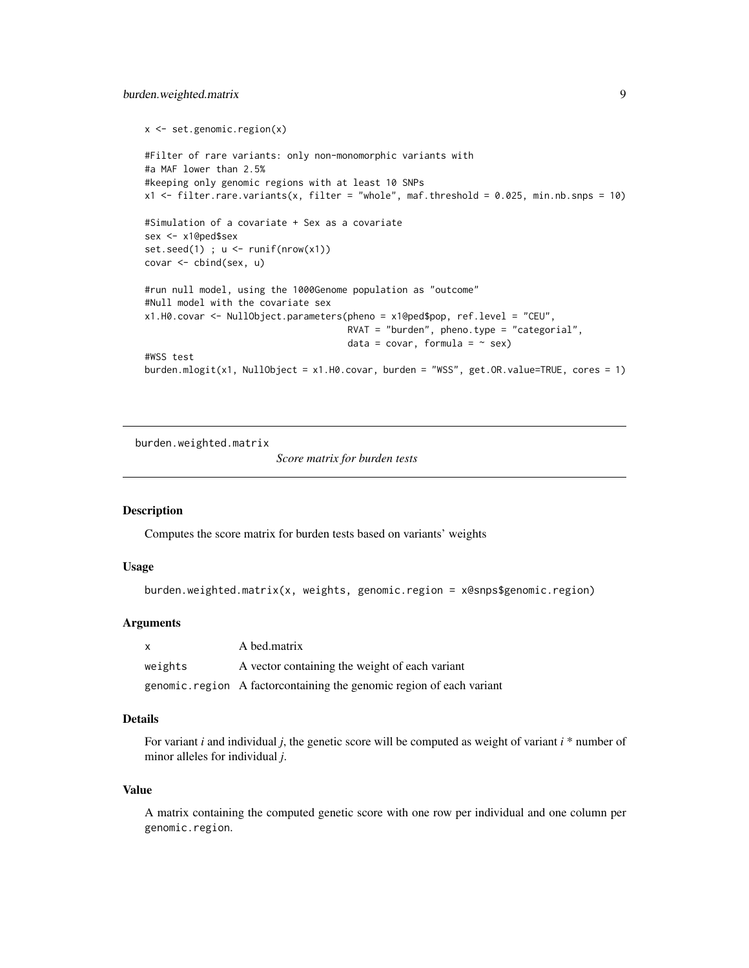### <span id="page-8-0"></span>burden.weighted.matrix 9

```
x <- set.genomic.region(x)
#Filter of rare variants: only non-monomorphic variants with
#a MAF lower than 2.5%
#keeping only genomic regions with at least 10 SNPs
x1 <- filter.rare.variants(x, filter = "whole", maf.threshold = 0.025, min.nb.snps = 10)
#Simulation of a covariate + Sex as a covariate
sex <- x1@ped$sex
set.seed(1) ; u \leftarrow runif(nrow(x1))covar <- cbind(sex, u)
#run null model, using the 1000Genome population as "outcome"
#Null model with the covariate sex
x1.H0.covar <- NullObject.parameters(pheno = x1@ped$pop, ref.level = "CEU",
                                      RVAT = "burden", pheno.type = "categorical",data = covar, formula = \sim sex)
#WSS test
burden.mlogit(x1, NullObject = x1.H0.covar, burden = "WSS", get.OR.value=TRUE, cores = 1)
```
<span id="page-8-1"></span>burden.weighted.matrix

*Score matrix for burden tests*

### Description

Computes the score matrix for burden tests based on variants' weights

#### Usage

```
burden.weighted.matrix(x, weights, genomic.region = x@snps$genomic.region)
```
### **Arguments**

| x       | A bed.matrix                                                           |
|---------|------------------------------------------------------------------------|
| weights | A vector containing the weight of each variant                         |
|         | genomic. region A factor containing the genomic region of each variant |

#### Details

For variant *i* and individual *j*, the genetic score will be computed as weight of variant *i* \* number of minor alleles for individual *j*.

#### Value

A matrix containing the computed genetic score with one row per individual and one column per genomic.region.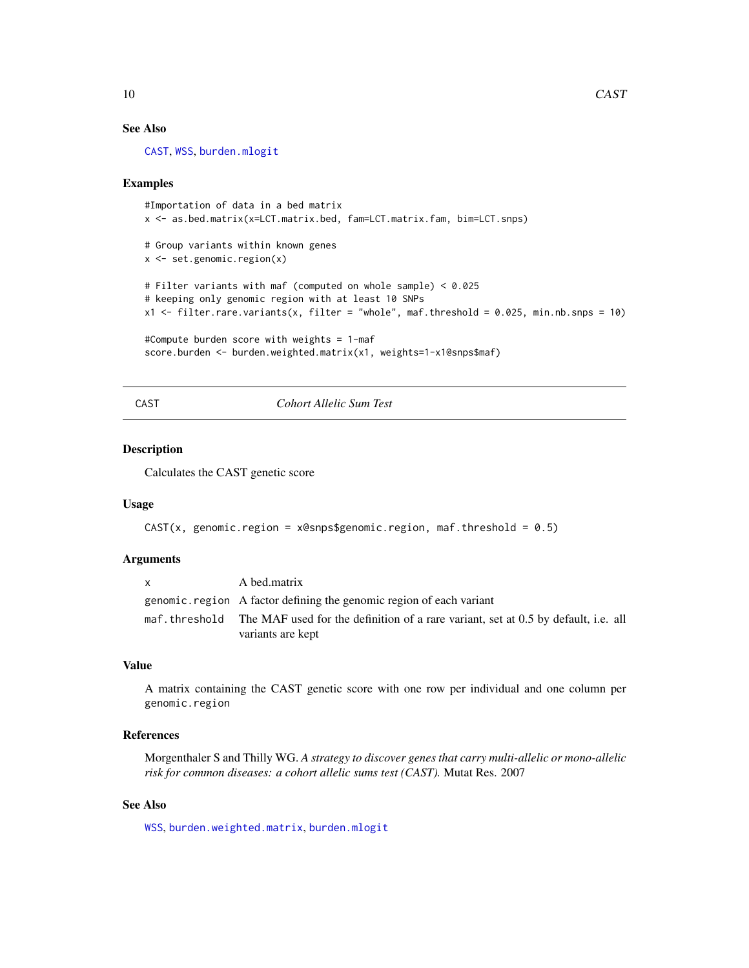### See Also

[CAST](#page-9-1), [WSS](#page-38-1), [burden.mlogit](#page-6-1)

#### Examples

```
#Importation of data in a bed matrix
x <- as.bed.matrix(x=LCT.matrix.bed, fam=LCT.matrix.fam, bim=LCT.snps)
# Group variants within known genes
x <- set.genomic.region(x)
# Filter variants with maf (computed on whole sample) < 0.025
# keeping only genomic region with at least 10 SNPs
x1 \le filter.rare.variants(x, filter = "whole", maf.threshold = 0.025, min.nb.snps = 10)
#Compute burden score with weights = 1-maf
score.burden <- burden.weighted.matrix(x1, weights=1-x1@snps$maf)
```
<span id="page-9-1"></span>CAST *Cohort Allelic Sum Test*

### Description

Calculates the CAST genetic score

### Usage

```
CAST(x, genomic.region = x@snps$genomic-region, maf.threshold = <math>0.5</math>)
```
#### Arguments

| $\mathsf{x}$  | A bed.matrix                                                                                            |
|---------------|---------------------------------------------------------------------------------------------------------|
|               | genomic region A factor defining the genomic region of each variant                                     |
| maf.threshold | The MAF used for the definition of a rare variant, set at 0.5 by default, i.e. all<br>variants are kept |

### Value

A matrix containing the CAST genetic score with one row per individual and one column per genomic.region

#### References

Morgenthaler S and Thilly WG. *A strategy to discover genes that carry multi-allelic or mono-allelic risk for common diseases: a cohort allelic sums test (CAST).* Mutat Res. 2007

### See Also

[WSS](#page-38-1), [burden.weighted.matrix](#page-8-1), [burden.mlogit](#page-6-1)

<span id="page-9-0"></span>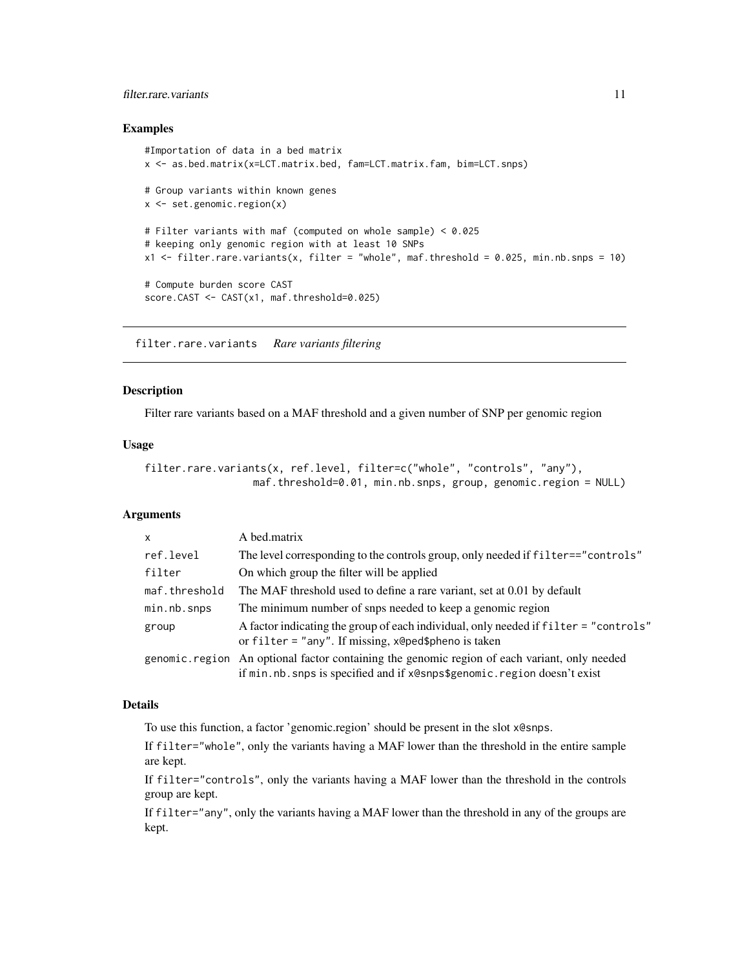### <span id="page-10-0"></span>filter.rare.variants 11

#### Examples

```
#Importation of data in a bed matrix
x <- as.bed.matrix(x=LCT.matrix.bed, fam=LCT.matrix.fam, bim=LCT.snps)
# Group variants within known genes
x \le - set.genomic.region(x)
# Filter variants with maf (computed on whole sample) < 0.025
# keeping only genomic region with at least 10 SNPs
x1 <- filter.rare.variants(x, filter = "whole", maf.threshold = 0.025, min.nb.snps = 10)
# Compute burden score CAST
score.CAST <- CAST(x1, maf.threshold=0.025)
```
filter.rare.variants *Rare variants filtering*

### Description

Filter rare variants based on a MAF threshold and a given number of SNP per genomic region

#### Usage

```
filter.rare.variants(x, ref.level, filter=c("whole", "controls", "any"),
                  maf.threshold=0.01, min.nb.snps, group, genomic.region = NULL)
```
### **Arguments**

| $\mathsf{x}$      | A bed.matrix                                                                                                                                                            |
|-------------------|-------------------------------------------------------------------------------------------------------------------------------------------------------------------------|
| ref.level         | The level corresponding to the controls group, only needed if filter=="controls"                                                                                        |
| filter            | On which group the filter will be applied                                                                                                                               |
| maf.threshold     | The MAF threshold used to define a rare variant, set at 0.01 by default                                                                                                 |
| $min.nb$ . $snps$ | The minimum number of snps needed to keep a genomic region                                                                                                              |
| group             | A factor indicating the group of each individual, only needed if filter = "controls"<br>or $filter = "any".$ If missing, $x$ @ped\$pheno is taken                       |
|                   | genomic.region An optional factor containing the genomic region of each variant, only needed<br>if min.nb.snps is specified and if x@snps\$genomic.region doesn't exist |

### Details

To use this function, a factor 'genomic.region' should be present in the slot x@snps.

If filter="whole", only the variants having a MAF lower than the threshold in the entire sample are kept.

If filter="controls", only the variants having a MAF lower than the threshold in the controls group are kept.

If filter="any", only the variants having a MAF lower than the threshold in any of the groups are kept.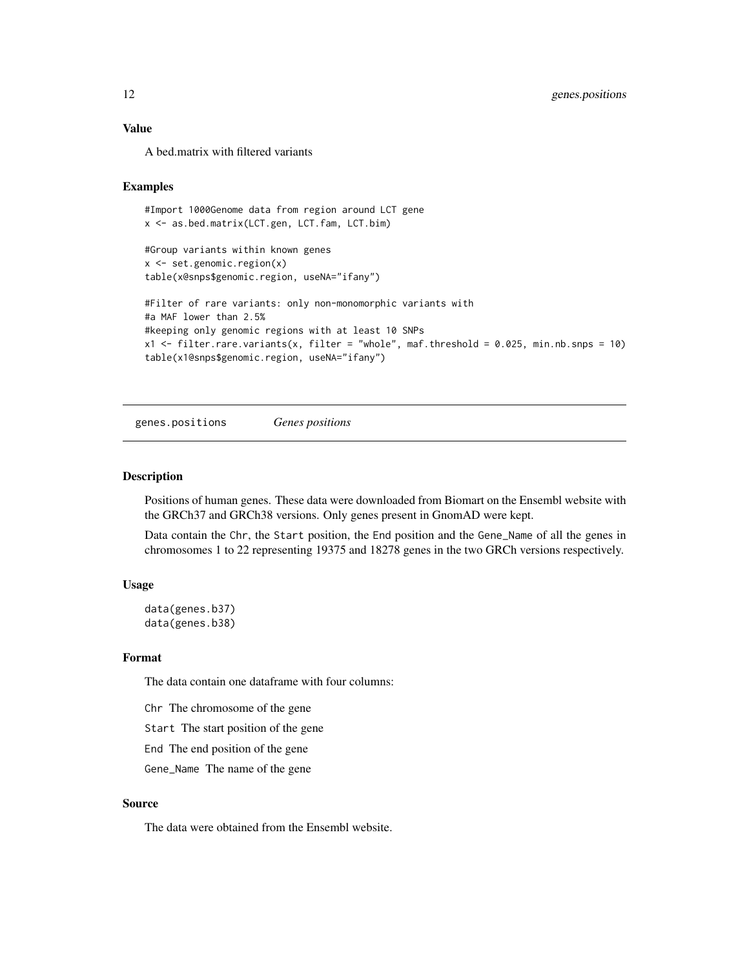### <span id="page-11-0"></span>Value

A bed.matrix with filtered variants

#### Examples

```
#Import 1000Genome data from region around LCT gene
x <- as.bed.matrix(LCT.gen, LCT.fam, LCT.bim)
#Group variants within known genes
x <- set.genomic.region(x)
table(x@snps$genomic.region, useNA="ifany")
#Filter of rare variants: only non-monomorphic variants with
#a MAF lower than 2.5%
#keeping only genomic regions with at least 10 SNPs
x1 \leftarrow filter.rare.variants(x, filter = "whole", maf.threshold = 0.025, min.nb.snps = 10)
table(x1@snps$genomic.region, useNA="ifany")
```
genes.positions *Genes positions*

#### <span id="page-11-1"></span>Description

Positions of human genes. These data were downloaded from Biomart on the Ensembl website with the GRCh37 and GRCh38 versions. Only genes present in GnomAD were kept.

Data contain the Chr, the Start position, the End position and the Gene\_Name of all the genes in chromosomes 1 to 22 representing 19375 and 18278 genes in the two GRCh versions respectively.

### Usage

data(genes.b37) data(genes.b38)

#### Format

The data contain one dataframe with four columns:

Chr The chromosome of the gene

Start The start position of the gene

End The end position of the gene

Gene\_Name The name of the gene

### Source

The data were obtained from the Ensembl website.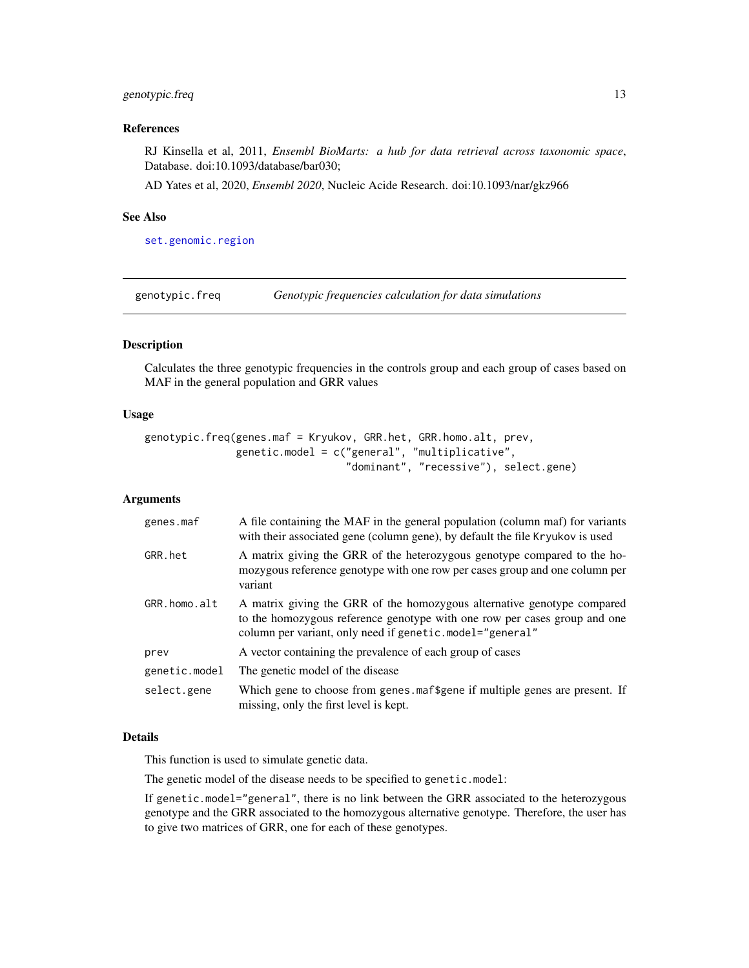### <span id="page-12-0"></span>genotypic.freq 13

#### References

RJ Kinsella et al, 2011, *Ensembl BioMarts: a hub for data retrieval across taxonomic space*, Database. doi:10.1093/database/bar030;

AD Yates et al, 2020, *Ensembl 2020*, Nucleic Acide Research. doi:10.1093/nar/gkz966

### See Also

[set.genomic.region](#page-25-1)

genotypic.freq *Genotypic frequencies calculation for data simulations*

#### Description

Calculates the three genotypic frequencies in the controls group and each group of cases based on MAF in the general population and GRR values

#### Usage

```
genotypic.freq(genes.maf = Kryukov, GRR.het, GRR.homo.alt, prev,
               genetic.model = c("general", "multiplicative",
                                 "dominant", "recessive"), select.gene)
```
#### Arguments

| genes.maf     | A file containing the MAF in the general population (column maf) for variants<br>with their associated gene (column gene), by default the file Kryukov is used                                                   |
|---------------|------------------------------------------------------------------------------------------------------------------------------------------------------------------------------------------------------------------|
| GRR.het       | A matrix giving the GRR of the heterozygous genotype compared to the ho-<br>mozygous reference genotype with one row per cases group and one column per<br>variant                                               |
| GRR.homo.alt  | A matrix giving the GRR of the homozygous alternative genotype compared<br>to the homozygous reference genotype with one row per cases group and one<br>column per variant, only need if genetic.model="general" |
| prev          | A vector containing the prevalence of each group of cases                                                                                                                                                        |
| genetic.model | The genetic model of the disease                                                                                                                                                                                 |
| select.gene   | Which gene to choose from genes maf\$gene if multiple genes are present. If<br>missing, only the first level is kept.                                                                                            |

#### Details

This function is used to simulate genetic data.

The genetic model of the disease needs to be specified to genetic.model:

If genetic.model="general", there is no link between the GRR associated to the heterozygous genotype and the GRR associated to the homozygous alternative genotype. Therefore, the user has to give two matrices of GRR, one for each of these genotypes.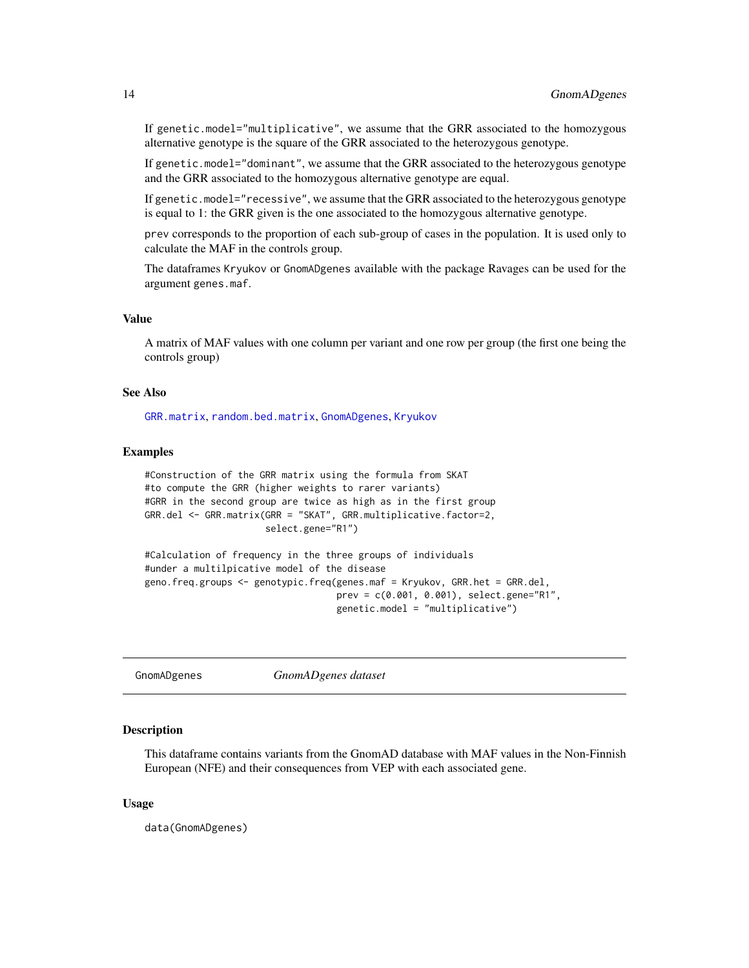<span id="page-13-0"></span>If genetic.model="multiplicative", we assume that the GRR associated to the homozygous alternative genotype is the square of the GRR associated to the heterozygous genotype.

If genetic.model="dominant", we assume that the GRR associated to the heterozygous genotype and the GRR associated to the homozygous alternative genotype are equal.

If genetic.model="recessive", we assume that the GRR associated to the heterozygous genotype is equal to 1: the GRR given is the one associated to the homozygous alternative genotype.

prev corresponds to the proportion of each sub-group of cases in the population. It is used only to calculate the MAF in the controls group.

The dataframes Kryukov or GnomADgenes available with the package Ravages can be used for the argument genes.maf.

#### Value

A matrix of MAF values with one column per variant and one row per group (the first one being the controls group)

#### See Also

[GRR.matrix](#page-14-1), [random.bed.matrix](#page-21-1), [GnomADgenes](#page-13-1), [Kryukov](#page-16-1)

#### Examples

```
#Construction of the GRR matrix using the formula from SKAT
#to compute the GRR (higher weights to rarer variants)
#GRR in the second group are twice as high as in the first group
GRR.del <- GRR.matrix(GRR = "SKAT", GRR.multiplicative.factor=2,
                      select.gene="R1")
#Calculation of frequency in the three groups of individuals
```

```
#under a multilpicative model of the disease
geno.freq.groups <- genotypic.freq(genes.maf = Kryukov, GRR.het = GRR.del,
                                   prev = c(0.001, 0.001), select.gene="R1",
                                   genetic.model = "multiplicative")
```
<span id="page-13-1"></span>GnomADgenes *GnomADgenes dataset*

#### Description

This dataframe contains variants from the GnomAD database with MAF values in the Non-Finnish European (NFE) and their consequences from VEP with each associated gene.

#### Usage

data(GnomADgenes)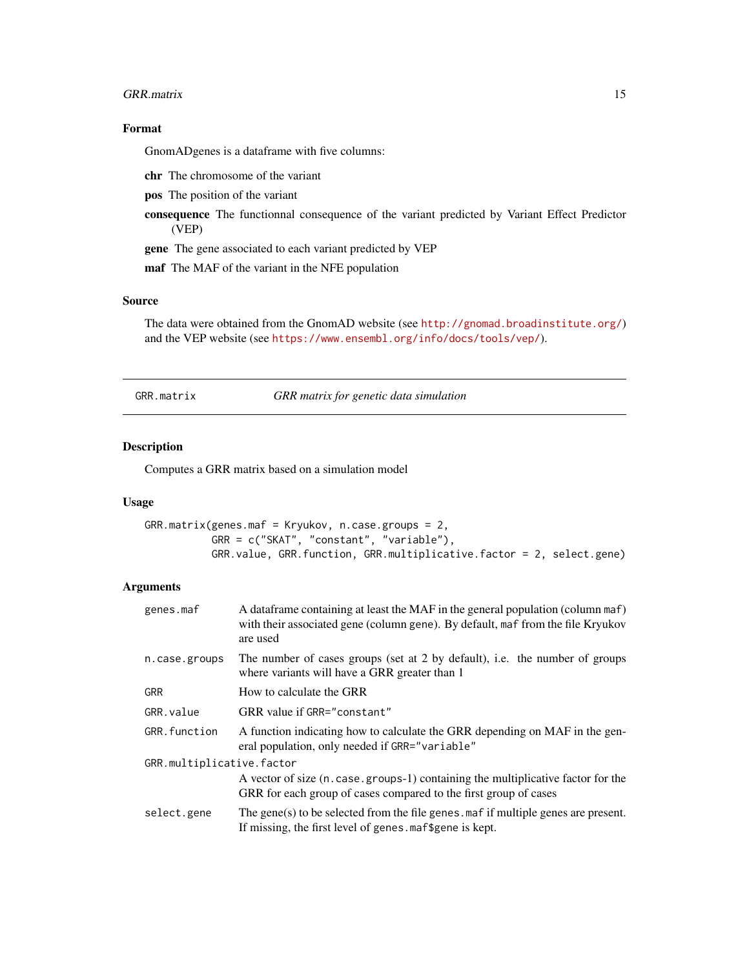#### <span id="page-14-0"></span>GRR.matrix 15

### Format

GnomADgenes is a dataframe with five columns:

chr The chromosome of the variant

pos The position of the variant

consequence The functionnal consequence of the variant predicted by Variant Effect Predictor (VEP)

gene The gene associated to each variant predicted by VEP

maf The MAF of the variant in the NFE population

### Source

The data were obtained from the GnomAD website (see <http://gnomad.broadinstitute.org/>) and the VEP website (see <https://www.ensembl.org/info/docs/tools/vep/>).

<span id="page-14-1"></span>GRR.matrix *GRR matrix for genetic data simulation*

### Description

Computes a GRR matrix based on a simulation model

### Usage

GRR.matrix(genes.maf = Kryukov, n.case.groups = 2, GRR = c("SKAT", "constant", "variable"), GRR.value, GRR.function, GRR.multiplicative.factor = 2, select.gene)

### **Arguments**

| genes.maf                 | A data frame containing at least the MAF in the general population (column maf)<br>with their associated gene (column gene). By default, maf from the file Kryukov<br>are used |
|---------------------------|--------------------------------------------------------------------------------------------------------------------------------------------------------------------------------|
| n.case.groups             | The number of cases groups (set at 2 by default), i.e. the number of groups<br>where variants will have a GRR greater than 1                                                   |
| <b>GRR</b>                | How to calculate the GRR                                                                                                                                                       |
| GRR. value                | GRR value if GRR="constant"                                                                                                                                                    |
| GRR.function              | A function indicating how to calculate the GRR depending on MAF in the gen-<br>eral population, only needed if GRR="variable"                                                  |
| GRR.multiplicative.factor |                                                                                                                                                                                |
|                           | A vector of size (n. case. groups-1) containing the multiplicative factor for the<br>GRR for each group of cases compared to the first group of cases                          |
| select.gene               | The gene(s) to be selected from the file genes maf if multiple genes are present.<br>If missing, the first level of genes maf\$gene is kept.                                   |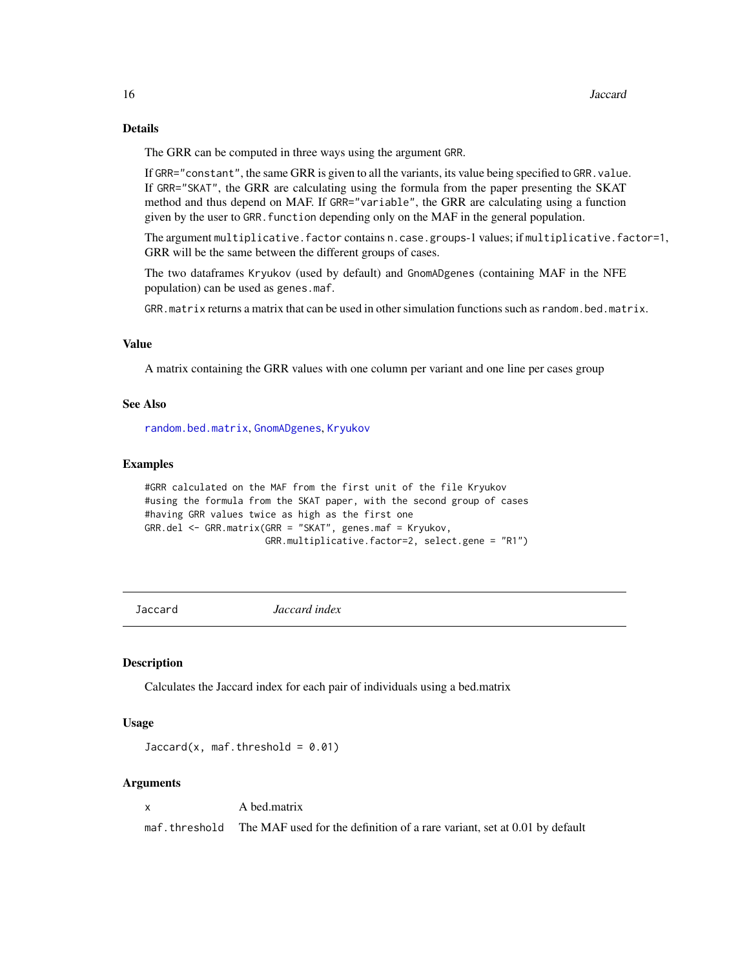### Details

The GRR can be computed in three ways using the argument GRR.

If GRR="constant", the same GRR is given to all the variants, its value being specified to GRR. value. If GRR="SKAT", the GRR are calculating using the formula from the paper presenting the SKAT method and thus depend on MAF. If GRR="variable", the GRR are calculating using a function given by the user to GRR. function depending only on the MAF in the general population.

The argument multiplicative.factor contains n.case.groups-1 values; if multiplicative.factor=1, GRR will be the same between the different groups of cases.

The two dataframes Kryukov (used by default) and GnomADgenes (containing MAF in the NFE population) can be used as genes.maf.

GRR.matrix returns a matrix that can be used in other simulation functions such as random.bed.matrix.

### Value

A matrix containing the GRR values with one column per variant and one line per cases group

#### See Also

[random.bed.matrix](#page-21-1), [GnomADgenes](#page-13-1), [Kryukov](#page-16-1)

#### Examples

```
#GRR calculated on the MAF from the first unit of the file Kryukov
#using the formula from the SKAT paper, with the second group of cases
#having GRR values twice as high as the first one
GRR.del <- GRR.matrix(GRR = "SKAT", genes.maf = Kryukov,
                     GRR.multiplicative.factor=2, select.gene = "R1")
```
Jaccard *Jaccard index*

#### Description

Calculates the Jaccard index for each pair of individuals using a bed.matrix

#### Usage

 $Jaccard(x, maf.threshold = 0.01)$ 

#### Arguments

x A bed.matrix

maf.threshold The MAF used for the definition of a rare variant, set at 0.01 by default

<span id="page-15-0"></span>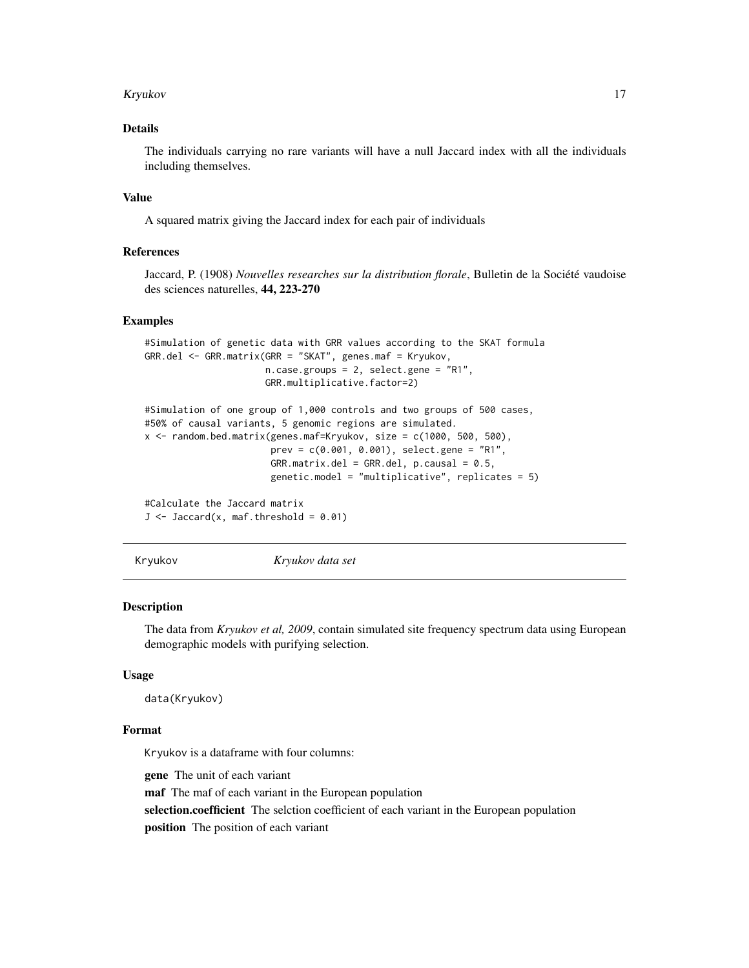#### <span id="page-16-0"></span>Kryukov 17

### Details

The individuals carrying no rare variants will have a null Jaccard index with all the individuals including themselves.

#### Value

A squared matrix giving the Jaccard index for each pair of individuals

### References

Jaccard, P. (1908) *Nouvelles researches sur la distribution florale*, Bulletin de la Société vaudoise des sciences naturelles, 44, 223-270

#### Examples

```
#Simulation of genetic data with GRR values according to the SKAT formula
GRR.del <- GRR.matrix(GRR = "SKAT", genes.maf = Kryukov,
                      n.case.groups = 2, select.gene = "R1",
                      GRR.multiplicative.factor=2)
```

```
#Simulation of one group of 1,000 controls and two groups of 500 cases,
#50% of causal variants, 5 genomic regions are simulated.
x <- random.bed.matrix(genes.maf=Kryukov, size = c(1000, 500, 500),
                      prev = c(0.001, 0.001), select.gene = "R1",
                       GRR_matrix.de1 = GRR.de1, p.causal = 0.5,genetic.model = "multiplicative", replicates = 5)
```
#Calculate the Jaccard matrix  $J \leftarrow \text{Jaccard}(x, \text{maf.threshold} = 0.01)$ 

<span id="page-16-1"></span>Kryukov *Kryukov data set*

#### **Description**

The data from *Kryukov et al, 2009*, contain simulated site frequency spectrum data using European demographic models with purifying selection.

#### Usage

data(Kryukov)

#### Format

Kryukov is a dataframe with four columns:

gene The unit of each variant

maf The maf of each variant in the European population

selection.coefficient The selction coefficient of each variant in the European population

position The position of each variant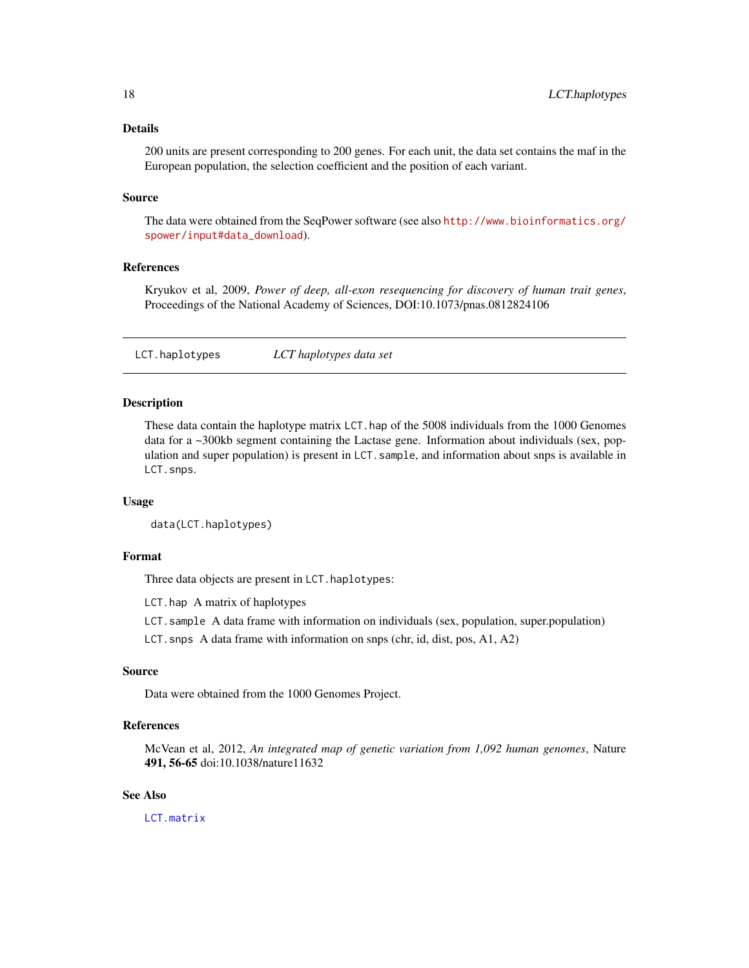### <span id="page-17-0"></span>Details

200 units are present corresponding to 200 genes. For each unit, the data set contains the maf in the European population, the selection coefficient and the position of each variant.

#### Source

The data were obtained from the SeqPower software (see also [http://www.bioinformatics.org/](http://www.bioinformatics.org/spower/input#data_download) [spower/input#data\\_download](http://www.bioinformatics.org/spower/input#data_download)).

### References

Kryukov et al, 2009, *Power of deep, all-exon resequencing for discovery of human trait genes*, Proceedings of the National Academy of Sciences, DOI:10.1073/pnas.0812824106

<span id="page-17-1"></span>LCT.haplotypes *LCT haplotypes data set*

#### Description

These data contain the haplotype matrix LCT.hap of the 5008 individuals from the 1000 Genomes data for a ~300kb segment containing the Lactase gene. Information about individuals (sex, population and super population) is present in LCT.sample, and information about snps is available in LCT.snps.

### Usage

```
data(LCT.haplotypes)
```
#### Format

Three data objects are present in LCT.haplotypes:

LCT.hap A matrix of haplotypes

LCT.sample A data frame with information on individuals (sex, population, super.population)

LCT.snps A data frame with information on snps (chr, id, dist, pos, A1, A2)

### Source

Data were obtained from the 1000 Genomes Project.

#### References

McVean et al, 2012, *An integrated map of genetic variation from 1,092 human genomes*, Nature 491, 56-65 doi:10.1038/nature11632

### See Also

[LCT.matrix](#page-18-1)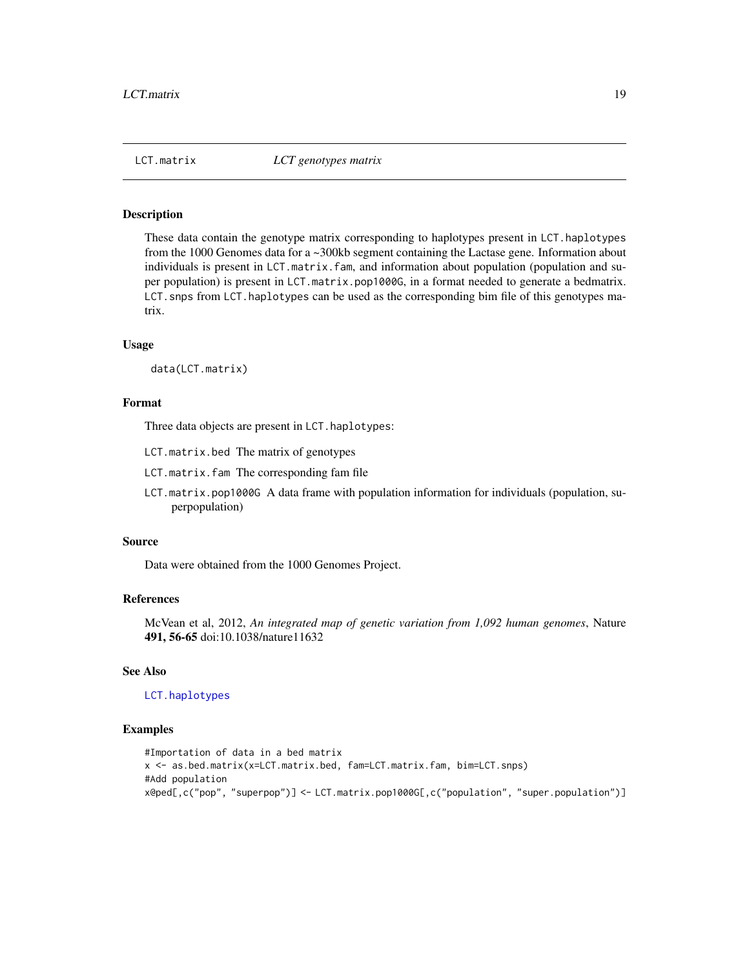<span id="page-18-1"></span><span id="page-18-0"></span>

### Description

These data contain the genotype matrix corresponding to haplotypes present in LCT.haplotypes from the 1000 Genomes data for a ~300kb segment containing the Lactase gene. Information about individuals is present in LCT.matrix.fam, and information about population (population and super population) is present in LCT.matrix.pop1000G, in a format needed to generate a bedmatrix. LCT. snps from LCT. haplotypes can be used as the corresponding bim file of this genotypes matrix.

#### Usage

data(LCT.matrix)

#### Format

Three data objects are present in LCT.haplotypes:

- LCT.matrix.bed The matrix of genotypes
- LCT.matrix.fam The corresponding fam file
- LCT.matrix.pop1000G A data frame with population information for individuals (population, superpopulation)

#### Source

Data were obtained from the 1000 Genomes Project.

#### References

McVean et al, 2012, *An integrated map of genetic variation from 1,092 human genomes*, Nature 491, 56-65 doi:10.1038/nature11632

### See Also

#### [LCT.haplotypes](#page-17-1)

```
#Importation of data in a bed matrix
x <- as.bed.matrix(x=LCT.matrix.bed, fam=LCT.matrix.fam, bim=LCT.snps)
#Add population
x@ped[,c("pop", "superpop")] <- LCT.matrix.pop1000G[,c("population", "super.population")]
```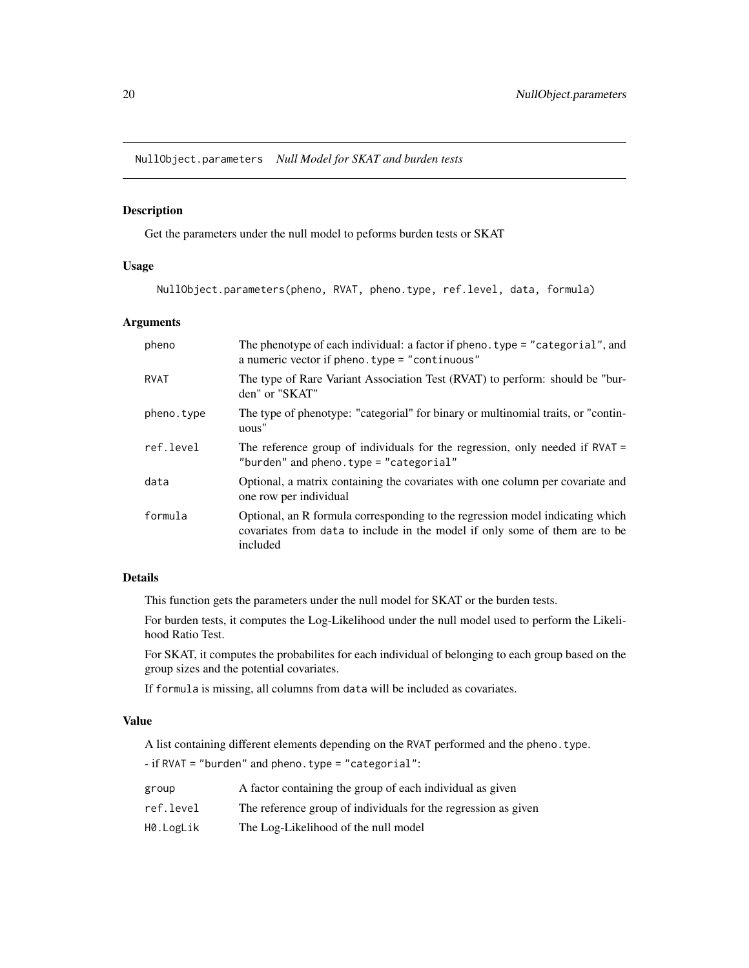<span id="page-19-1"></span><span id="page-19-0"></span>NullObject.parameters *Null Model for SKAT and burden tests*

### Description

Get the parameters under the null model to peforms burden tests or SKAT

### Usage

NullObject.parameters(pheno, RVAT, pheno.type, ref.level, data, formula)

### Arguments

| pheno       | The phenotype of each individual: a factor if pheno. type = "categorial", and<br>a numeric vector if pheno. type $=$ "continuous"                                        |
|-------------|--------------------------------------------------------------------------------------------------------------------------------------------------------------------------|
| <b>RVAT</b> | The type of Rare Variant Association Test (RVAT) to perform: should be "bur-<br>den" or "SKAT"                                                                           |
| pheno.type  | The type of phenotype: "categorial" for binary or multinomial traits, or "contin-<br>uous"                                                                               |
| ref.level   | The reference group of individuals for the regression, only needed if $RVAL$<br>"burden" and pheno.type = "categorial"                                                   |
| data        | Optional, a matrix containing the covariates with one column per covariate and<br>one row per individual                                                                 |
| formula     | Optional, an R formula corresponding to the regression model indicating which<br>covariates from data to include in the model if only some of them are to be<br>included |

### Details

This function gets the parameters under the null model for SKAT or the burden tests.

For burden tests, it computes the Log-Likelihood under the null model used to perform the Likelihood Ratio Test.

For SKAT, it computes the probabilites for each individual of belonging to each group based on the group sizes and the potential covariates.

If formula is missing, all columns from data will be included as covariates.

### Value

A list containing different elements depending on the RVAT performed and the pheno.type.

- if RVAT = "burden" and pheno.type = "categorial":

| group     | A factor containing the group of each individual as given      |
|-----------|----------------------------------------------------------------|
| ref.level | The reference group of individuals for the regression as given |
| H0.LogLik | The Log-Likelihood of the null model                           |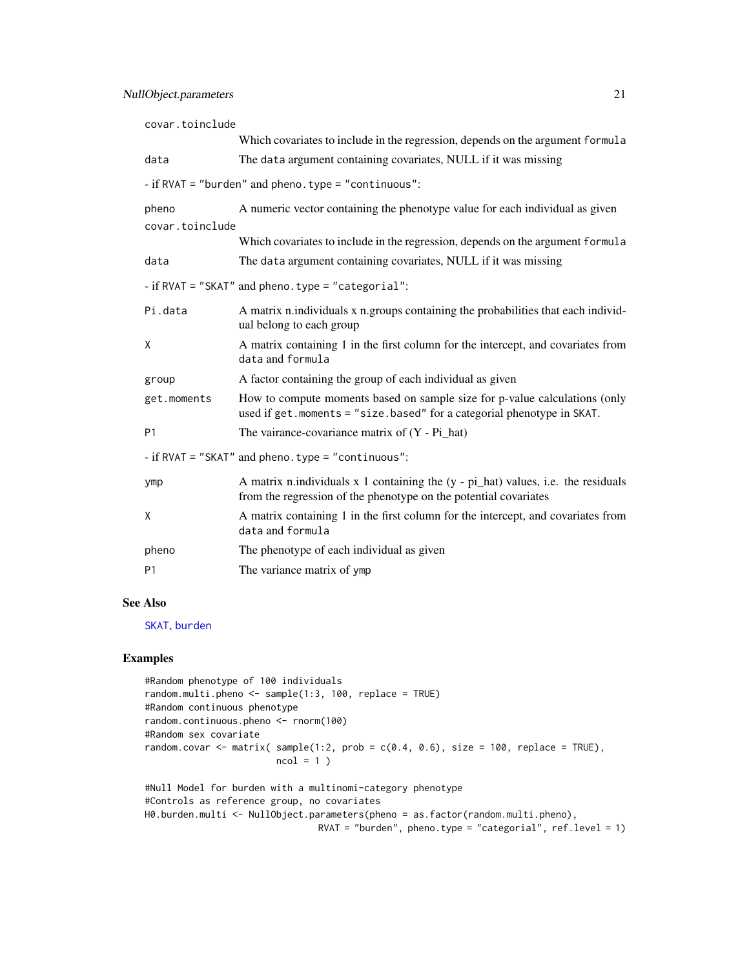<span id="page-20-0"></span>

| covar.toinclude                                    |                                                                                                                                                                        |  |
|----------------------------------------------------|------------------------------------------------------------------------------------------------------------------------------------------------------------------------|--|
|                                                    | Which covariates to include in the regression, depends on the argument formula                                                                                         |  |
| data                                               | The data argument containing covariates, NULL if it was missing                                                                                                        |  |
|                                                    | - if RVAT = "burden" and pheno. type = "continuous":                                                                                                                   |  |
| pheno<br>covar.toinclude                           | A numeric vector containing the phenotype value for each individual as given                                                                                           |  |
|                                                    | Which covariates to include in the regression, depends on the argument formula                                                                                         |  |
| data                                               | The data argument containing covariates, NULL if it was missing                                                                                                        |  |
| - if RVAT = "SKAT" and pheno. type = "categorial": |                                                                                                                                                                        |  |
| Pi.data                                            | A matrix n.individuals x n.groups containing the probabilities that each individ-<br>ual belong to each group                                                          |  |
| X                                                  | A matrix containing 1 in the first column for the intercept, and covariates from<br>data and formula                                                                   |  |
| group                                              | A factor containing the group of each individual as given                                                                                                              |  |
| get.moments                                        | How to compute moments based on sample size for p-value calculations (only<br>used if get. moments = "size. based" for a categorial phenotype in SKAT.                 |  |
| <b>P1</b>                                          | The vairance-covariance matrix of $(Y - Pi\_hat)$                                                                                                                      |  |
| - if RVAT = "SKAT" and pheno. type = "continuous": |                                                                                                                                                                        |  |
| ymp                                                | A matrix n.individuals $x$ 1 containing the $(y - pi$ <sub>nhat</sub> ) values, i.e. the residuals<br>from the regression of the phenotype on the potential covariates |  |
| X                                                  | A matrix containing 1 in the first column for the intercept, and covariates from<br>data and formula                                                                   |  |
| pheno                                              | The phenotype of each individual as given                                                                                                                              |  |
| P <sub>1</sub>                                     | The variance matrix of ymp                                                                                                                                             |  |

### See Also

[SKAT](#page-27-1), [burden](#page-2-1)

```
#Random phenotype of 100 individuals
random.multi.pheno <- sample(1:3, 100, replace = TRUE)
#Random continuous phenotype
random.continuous.pheno <- rnorm(100)
#Random sex covariate
random.covar \leq matrix( sample(1:2, prob = c(0.4, 0.6), size = 100, replace = TRUE),
                        ncol = 1)
#Null Model for burden with a multinomi-category phenotype
```

```
#Controls as reference group, no covariates
H0.burden.multi <- NullObject.parameters(pheno = as.factor(random.multi.pheno),
                                 RVAT = "burden", pheno.type = "categorial", ref<math>.level = 1)
```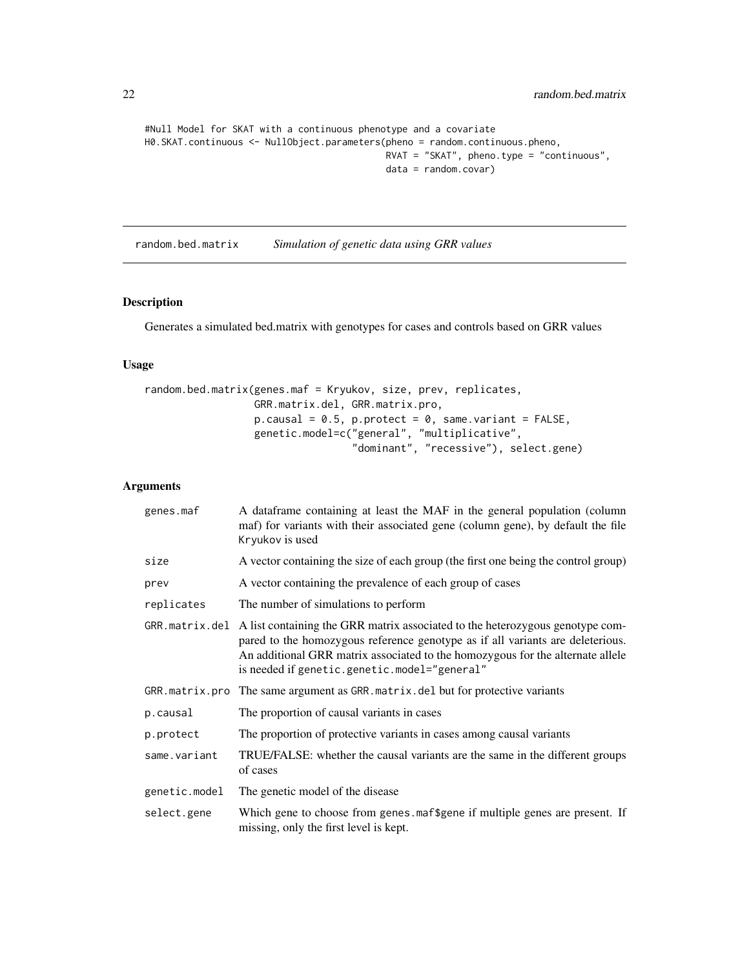```
#Null Model for SKAT with a continuous phenotype and a covariate
H0.SKAT.continuous <- NullObject.parameters(pheno = random.continuous.pheno,
                                            RVAT = "SKAT", pheno.type = "continuous",
                                            data = random.covar)
```
<span id="page-21-1"></span>random.bed.matrix *Simulation of genetic data using GRR values*

## Description

Generates a simulated bed.matrix with genotypes for cases and controls based on GRR values

#### Usage

```
random.bed.matrix(genes.maf = Kryukov, size, prev, replicates,
                    GRR.matrix.del, GRR.matrix.pro,
                    p \cdot \text{causal} = 0.5, p \cdot \text{protest} = 0, same.variant = FALSE,
                    genetic.model=c("general", "multiplicative",
                                      "dominant", "recessive"), select.gene)
```
### Arguments

| genes.maf     | A dataframe containing at least the MAF in the general population (column<br>maf) for variants with their associated gene (column gene), by default the file<br>Kryukov is used                                                                                                                                    |
|---------------|--------------------------------------------------------------------------------------------------------------------------------------------------------------------------------------------------------------------------------------------------------------------------------------------------------------------|
| size          | A vector containing the size of each group (the first one being the control group)                                                                                                                                                                                                                                 |
| prev          | A vector containing the prevalence of each group of cases                                                                                                                                                                                                                                                          |
| replicates    | The number of simulations to perform                                                                                                                                                                                                                                                                               |
|               | GRR. matrix. del A list containing the GRR matrix associated to the heterozygous genotype com-<br>pared to the homozygous reference genotype as if all variants are deleterious.<br>An additional GRR matrix associated to the homozygous for the alternate allele<br>is needed if genetic.genetic.model="general" |
|               | GRR. matrix. pro The same argument as GRR. matrix. del but for protective variants                                                                                                                                                                                                                                 |
| p.causal      | The proportion of causal variants in cases                                                                                                                                                                                                                                                                         |
| p.protect     | The proportion of protective variants in cases among causal variants                                                                                                                                                                                                                                               |
| same.variant  | TRUE/FALSE: whether the causal variants are the same in the different groups<br>of cases                                                                                                                                                                                                                           |
| genetic.model | The genetic model of the disease                                                                                                                                                                                                                                                                                   |
| select.gene   | Which gene to choose from genes maf\$gene if multiple genes are present. If<br>missing, only the first level is kept.                                                                                                                                                                                              |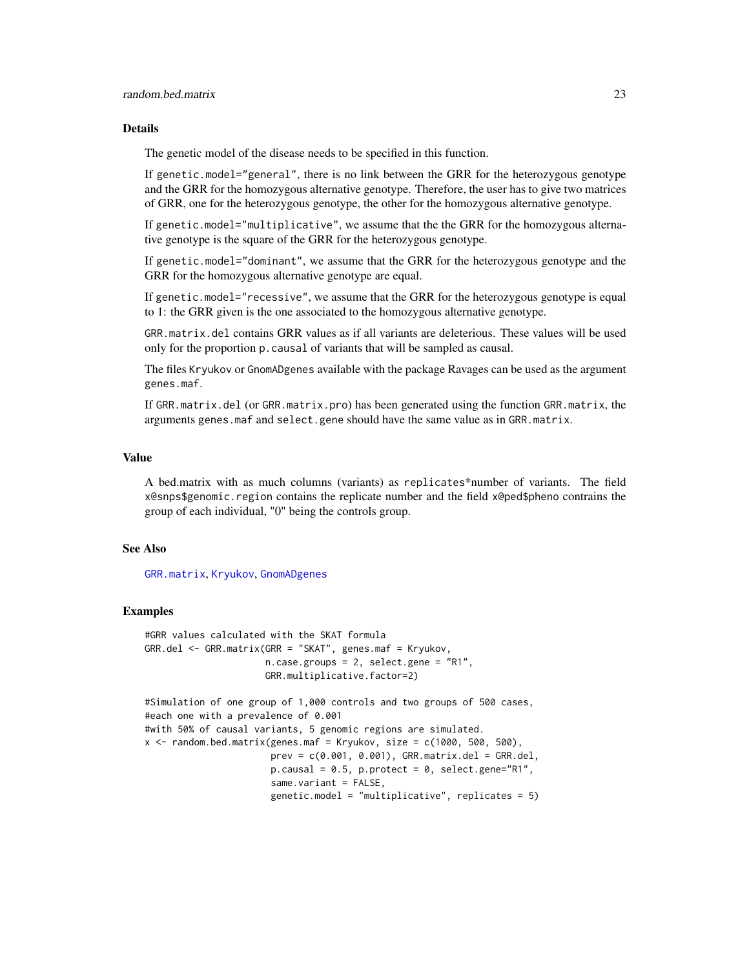### <span id="page-22-0"></span>random.bed.matrix 23

### Details

The genetic model of the disease needs to be specified in this function.

If genetic.model="general", there is no link between the GRR for the heterozygous genotype and the GRR for the homozygous alternative genotype. Therefore, the user has to give two matrices of GRR, one for the heterozygous genotype, the other for the homozygous alternative genotype.

If genetic.model="multiplicative", we assume that the the GRR for the homozygous alternative genotype is the square of the GRR for the heterozygous genotype.

If genetic.model="dominant", we assume that the GRR for the heterozygous genotype and the GRR for the homozygous alternative genotype are equal.

If genetic.model="recessive", we assume that the GRR for the heterozygous genotype is equal to 1: the GRR given is the one associated to the homozygous alternative genotype.

GRR.matrix.del contains GRR values as if all variants are deleterious. These values will be used only for the proportion p.causal of variants that will be sampled as causal.

The files Kryukov or GnomADgenes available with the package Ravages can be used as the argument genes.maf.

If GRR.matrix.del (or GRR.matrix.pro) has been generated using the function GRR.matrix, the arguments genes.maf and select.gene should have the same value as in GRR.matrix.

#### Value

A bed.matrix with as much columns (variants) as replicates\*number of variants. The field x@snps\$genomic.region contains the replicate number and the field x@ped\$pheno contrains the group of each individual, "0" being the controls group.

#### See Also

[GRR.matrix](#page-14-1), [Kryukov](#page-16-1), [GnomADgenes](#page-13-1)

```
#GRR values calculated with the SKAT formula
GRR.del <- GRR.matrix(GRR = "SKAT", genes.maf = Kryukov,
                        n.case.groups = 2, select.gene = "R1",
                        GRR.multiplicative.factor=2)
#Simulation of one group of 1,000 controls and two groups of 500 cases,
#each one with a prevalence of 0.001
#with 50% of causal variants, 5 genomic regions are simulated.
x \le - random.bed.matrix(genes.maf = Kryukov, size = c(1000, 500, 500),
                         prev = c(0.001, 0.001), GRR_matrix.de1 = GRR.de1,p \text{.} \text{causal} = 0.5, p \text{.} \text{protect } z = 0, \text{select.} \text{gene} = "R1",same.variant = FALSE,
                         genetic.model = "multiplicative", replicates = 5)
```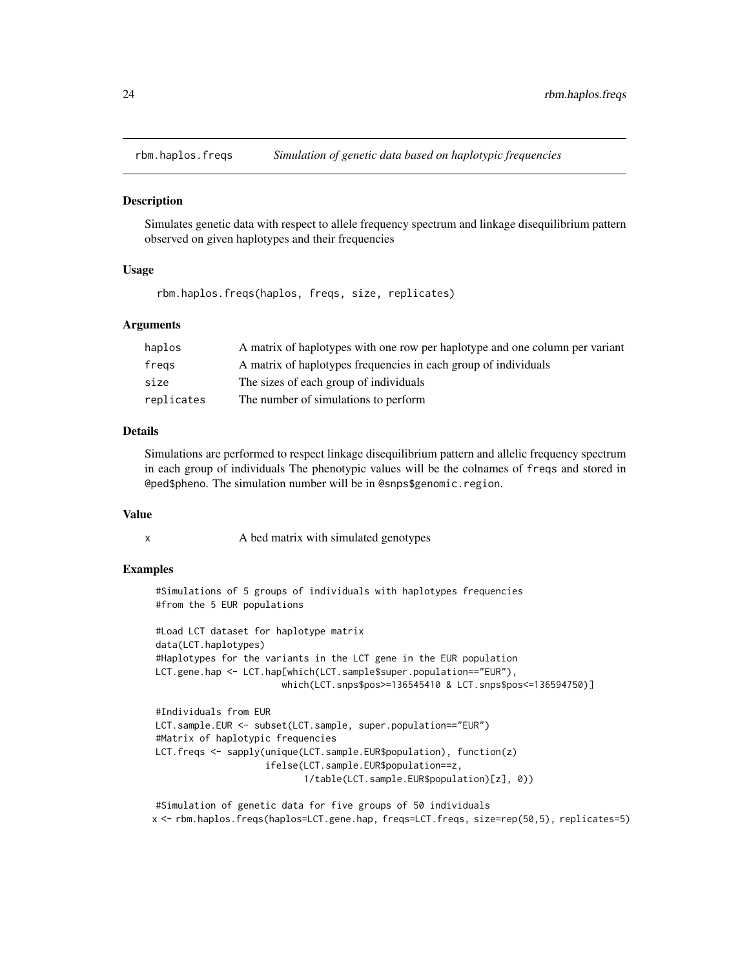<span id="page-23-0"></span>

### Description

Simulates genetic data with respect to allele frequency spectrum and linkage disequilibrium pattern observed on given haplotypes and their frequencies

### Usage

rbm.haplos.freqs(haplos, freqs, size, replicates)

#### **Arguments**

| haplos     | A matrix of haplotypes with one row per haplotype and one column per variant |
|------------|------------------------------------------------------------------------------|
| fregs      | A matrix of haplotypes frequencies in each group of individuals              |
| size       | The sizes of each group of individuals                                       |
| replicates | The number of simulations to perform                                         |

### Details

Simulations are performed to respect linkage disequilibrium pattern and allelic frequency spectrum in each group of individuals The phenotypic values will be the colnames of freqs and stored in @ped\$pheno. The simulation number will be in @snps\$genomic.region.

#### Value

x A bed matrix with simulated genotypes

### Examples

#Simulations of 5 groups of individuals with haplotypes frequencies #from the 5 EUR populations

#Load LCT dataset for haplotype matrix data(LCT.haplotypes) #Haplotypes for the variants in the LCT gene in the EUR population LCT.gene.hap <- LCT.hap[which(LCT.sample\$super.population=="EUR"), which(LCT.snps\$pos>=136545410 & LCT.snps\$pos<=136594750)]

```
#Individuals from EUR
LCT.sample.EUR <- subset(LCT.sample, super.population=="EUR")
#Matrix of haplotypic frequencies
LCT.freqs <- sapply(unique(LCT.sample.EUR$population), function(z)
                    ifelse(LCT.sample.EUR$population==z,
                           1/table(LCT.sample.EUR$population)[z], 0))
```
#Simulation of genetic data for five groups of 50 individuals x <- rbm.haplos.freqs(haplos=LCT.gene.hap, freqs=LCT.freqs, size=rep(50,5), replicates=5)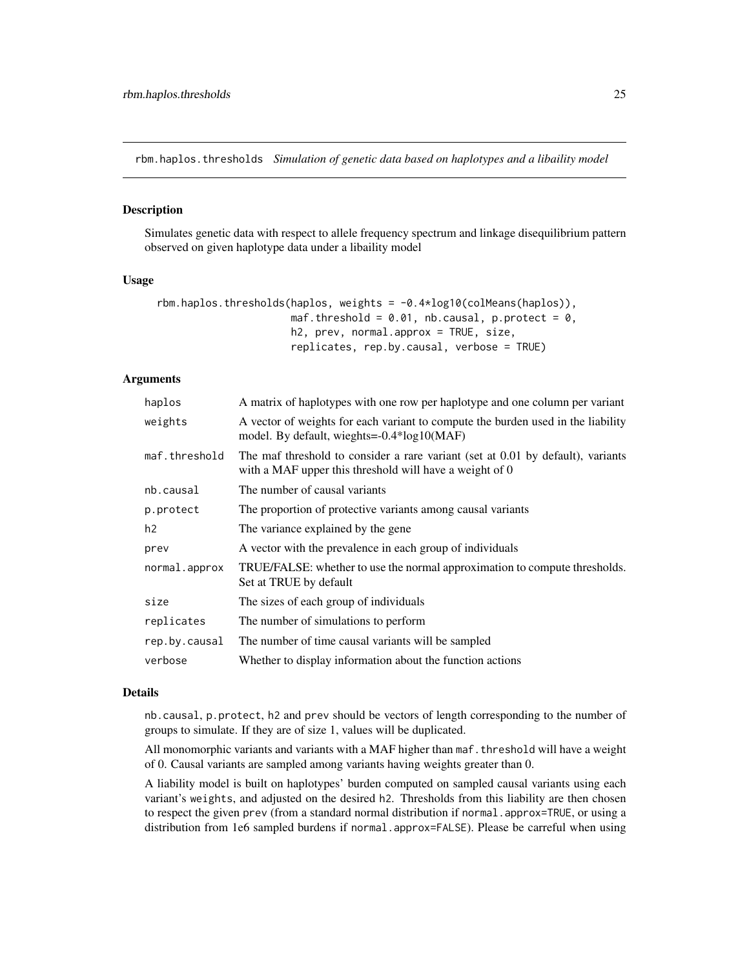<span id="page-24-0"></span>rbm.haplos.thresholds *Simulation of genetic data based on haplotypes and a libaility model*

#### Description

Simulates genetic data with respect to allele frequency spectrum and linkage disequilibrium pattern observed on given haplotype data under a libaility model

#### Usage

```
rbm.haplos.thresholds(haplos, weights = -0.4*log10(colMeans(haplos)),
                      maf.threshold = 0.01, nb.causal, p.protect = 0,
                      h2, prev, normal.approx = TRUE, size,
                      replicates, rep.by.causal, verbose = TRUE)
```
#### Arguments

| haplos         | A matrix of haplotypes with one row per haplotype and one column per variant                                                               |
|----------------|--------------------------------------------------------------------------------------------------------------------------------------------|
| weights        | A vector of weights for each variant to compute the burden used in the liability<br>model. By default, wieghts=-0.4*log10(MAF)             |
| maf.threshold  | The maf threshold to consider a rare variant (set at 0.01 by default), variants<br>with a MAF upper this threshold will have a weight of 0 |
| nb.causal      | The number of causal variants                                                                                                              |
| p.protect      | The proportion of protective variants among causal variants                                                                                |
| h <sub>2</sub> | The variance explained by the gene.                                                                                                        |
| prev           | A vector with the prevalence in each group of individuals                                                                                  |
| normal.approx  | TRUE/FALSE: whether to use the normal approximation to compute thresholds.<br>Set at TRUE by default                                       |
| size           | The sizes of each group of individuals                                                                                                     |
| replicates     | The number of simulations to perform                                                                                                       |
| rep.by.causal  | The number of time causal variants will be sampled                                                                                         |
| verbose        | Whether to display information about the function actions                                                                                  |

#### Details

nb.causal, p.protect, h2 and prev should be vectors of length corresponding to the number of groups to simulate. If they are of size 1, values will be duplicated.

All monomorphic variants and variants with a MAF higher than maf.threshold will have a weight of 0. Causal variants are sampled among variants having weights greater than 0.

A liability model is built on haplotypes' burden computed on sampled causal variants using each variant's weights, and adjusted on the desired h2. Thresholds from this liability are then chosen to respect the given prev (from a standard normal distribution if normal.approx=TRUE, or using a distribution from 1e6 sampled burdens if normal.approx=FALSE). Please be carreful when using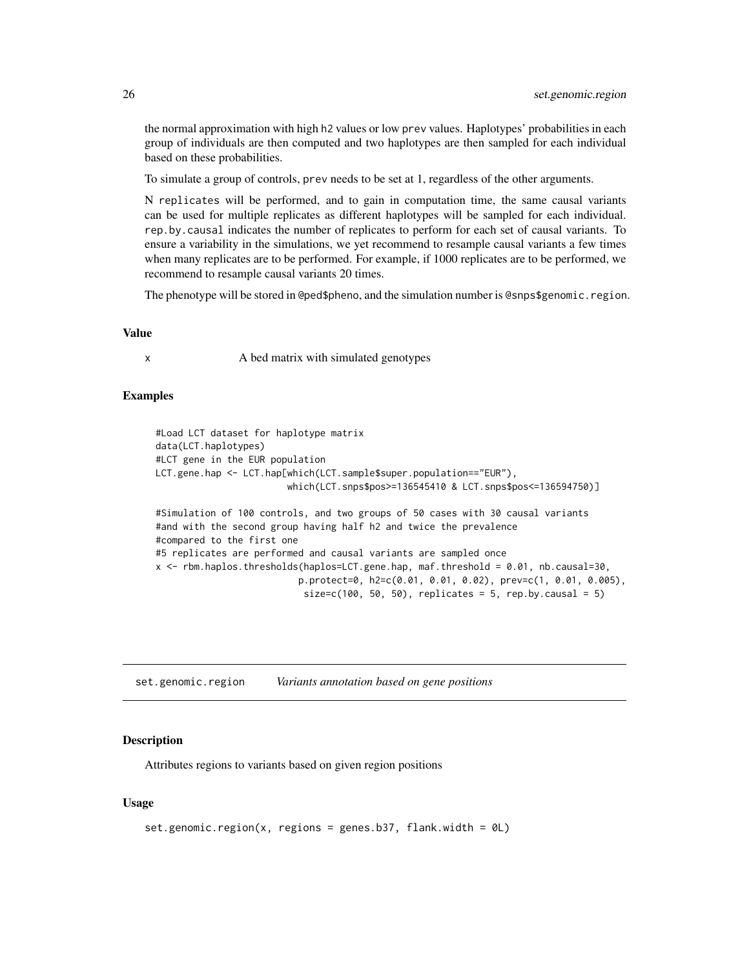the normal approximation with high h2 values or low prev values. Haplotypes' probabilities in each group of individuals are then computed and two haplotypes are then sampled for each individual based on these probabilities.

To simulate a group of controls, prev needs to be set at 1, regardless of the other arguments.

N replicates will be performed, and to gain in computation time, the same causal variants can be used for multiple replicates as different haplotypes will be sampled for each individual. rep.by.causal indicates the number of replicates to perform for each set of causal variants. To ensure a variability in the simulations, we yet recommend to resample causal variants a few times when many replicates are to be performed. For example, if 1000 replicates are to be performed, we recommend to resample causal variants 20 times.

The phenotype will be stored in @ped\$pheno, and the simulation number is @snps\$genomic.region.

#### Value

x A bed matrix with simulated genotypes

### Examples

```
#Load LCT dataset for haplotype matrix
data(LCT.haplotypes)
#LCT gene in the EUR population
LCT.gene.hap <- LCT.hap[which(LCT.sample$super.population=="EUR"),
                        which(LCT.snps$pos>=136545410 & LCT.snps$pos<=136594750)]
#Simulation of 100 controls, and two groups of 50 cases with 30 causal variants
#and with the second group having half h2 and twice the prevalence
#compared to the first one
#5 replicates are performed and causal variants are sampled once
x <- rbm.haplos.thresholds(haplos=LCT.gene.hap, maf.threshold = 0.01, nb.causal=30,
                          p.protect=0, h2=c(0.01, 0.01, 0.02), prev=c(1, 0.01, 0.005),
                           size=c(100, 50, 50), replicates = 5, rep.by.causal = 5)
```
<span id="page-25-1"></span>set.genomic.region *Variants annotation based on gene positions*

#### **Description**

Attributes regions to variants based on given region positions

#### Usage

```
set.genomic.region(x, regions = genes.b37, flank.width = 0L)
```
<span id="page-25-0"></span>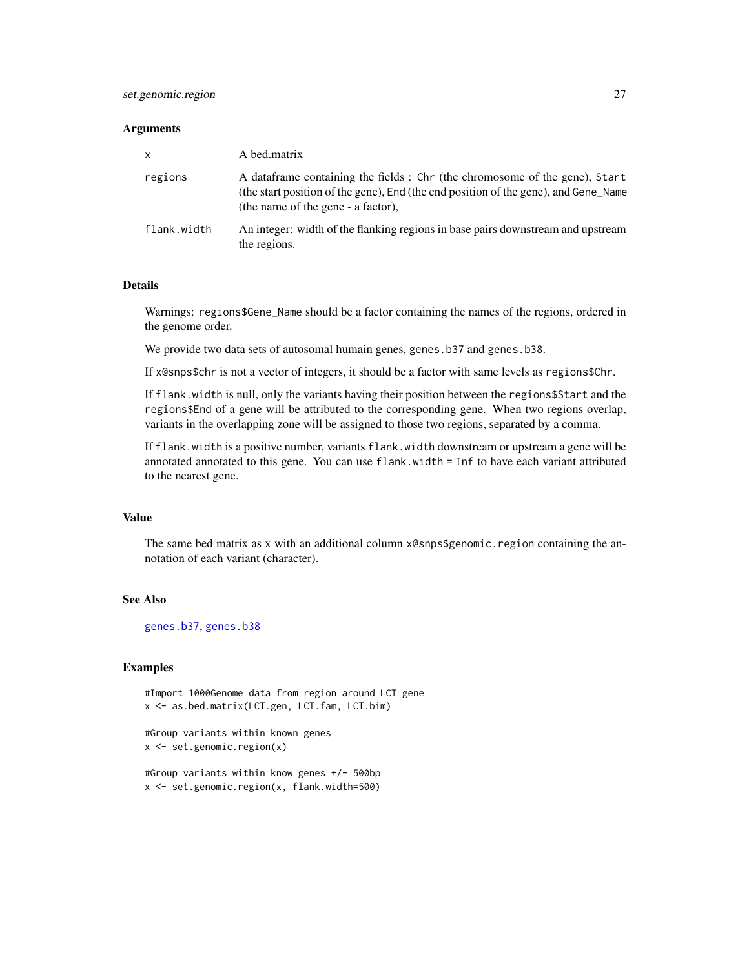#### <span id="page-26-0"></span>**Arguments**

| $\mathsf{x}$ | A bed.matrix                                                                                                                                                                                              |
|--------------|-----------------------------------------------------------------------------------------------------------------------------------------------------------------------------------------------------------|
| regions      | A data frame containing the fields : Chr (the chromosome of the gene), Start<br>(the start position of the gene), End (the end position of the gene), and Gene Name<br>(the name of the gene - a factor), |
| flank.width  | An integer: width of the flanking regions in base pairs downstream and upstream<br>the regions.                                                                                                           |

#### Details

Warnings: regions\$Gene\_Name should be a factor containing the names of the regions, ordered in the genome order.

We provide two data sets of autosomal humain genes, genes.b37 and genes.b38.

If x@snps\$chr is not a vector of integers, it should be a factor with same levels as regions\$Chr.

If flank.width is null, only the variants having their position between the regions\$Start and the regions\$End of a gene will be attributed to the corresponding gene. When two regions overlap, variants in the overlapping zone will be assigned to those two regions, separated by a comma.

If flank.width is a positive number, variants flank.width downstream or upstream a gene will be annotated annotated to this gene. You can use flank.width = Inf to have each variant attributed to the nearest gene.

### Value

The same bed matrix as x with an additional column x@snps\$genomic.region containing the annotation of each variant (character).

### See Also

[genes.b37](#page-11-1), [genes.b38](#page-11-1)

```
#Import 1000Genome data from region around LCT gene
x <- as.bed.matrix(LCT.gen, LCT.fam, LCT.bim)
```

```
#Group variants within known genes
x <- set.genomic.region(x)
```

```
#Group variants within know genes +/- 500bp
x <- set.genomic.region(x, flank.width=500)
```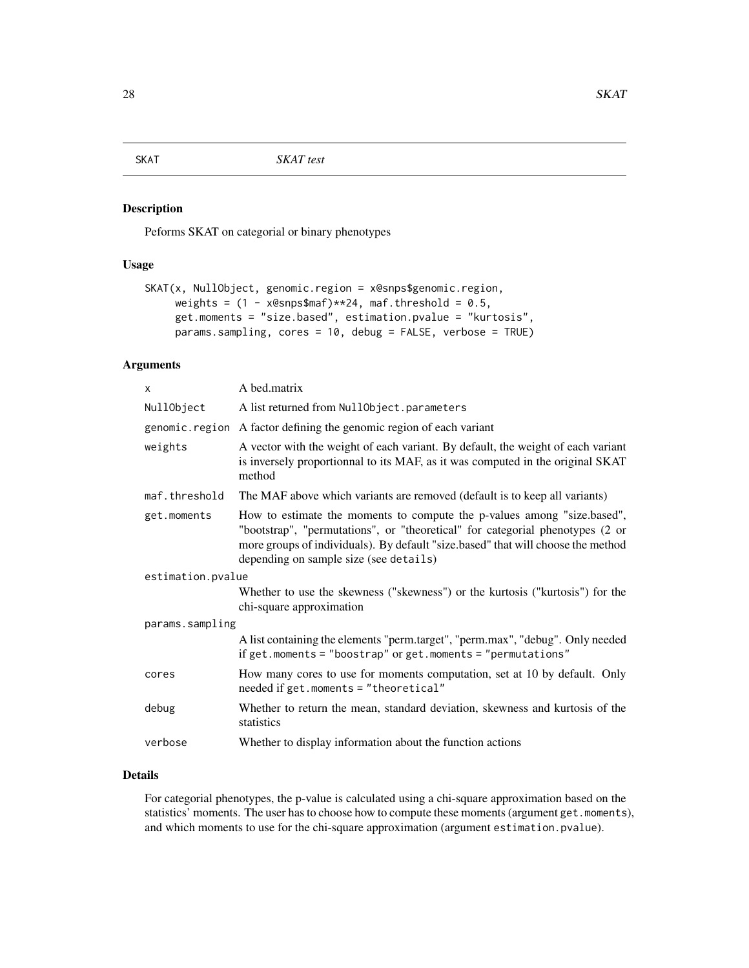<span id="page-27-1"></span><span id="page-27-0"></span>SKAT *SKAT test*

### Description

Peforms SKAT on categorial or binary phenotypes

#### Usage

```
SKAT(x, NullObject, genomic.region = x@snps$genomic.region,
     weights = (1 - x@snps$maf)*x24, maf.threshold = 0.5,
     get.moments = "size.based", estimation.pvalue = "kurtosis",
     params.sampling, cores = 10, debug = FALSE, verbose = TRUE)
```
### Arguments

| X                 | A bed.matrix                                                                                                                                                                                                                                                                           |
|-------------------|----------------------------------------------------------------------------------------------------------------------------------------------------------------------------------------------------------------------------------------------------------------------------------------|
| NullObject        | A list returned from NullObject.parameters                                                                                                                                                                                                                                             |
| genomic.region    | A factor defining the genomic region of each variant                                                                                                                                                                                                                                   |
| weights           | A vector with the weight of each variant. By default, the weight of each variant<br>is inversely proportionnal to its MAF, as it was computed in the original SKAT<br>method                                                                                                           |
| maf.threshold     | The MAF above which variants are removed (default is to keep all variants)                                                                                                                                                                                                             |
| get.moments       | How to estimate the moments to compute the p-values among "size.based",<br>"bootstrap", "permutations", or "theoretical" for categorial phenotypes (2 or<br>more groups of individuals). By default "size.based" that will choose the method<br>depending on sample size (see details) |
| estimation.pvalue |                                                                                                                                                                                                                                                                                        |
|                   | Whether to use the skewness ("skewness") or the kurtosis ("kurtosis") for the<br>chi-square approximation                                                                                                                                                                              |
| params.sampling   |                                                                                                                                                                                                                                                                                        |
|                   | A list containing the elements "perm.target", "perm.max", "debug". Only needed<br>if get.moments = "boostrap" or get.moments = "permutations"                                                                                                                                          |
| cores             | How many cores to use for moments computation, set at 10 by default. Only<br>meeded if get.moments = "theoretical"                                                                                                                                                                     |
| debug             | Whether to return the mean, standard deviation, skewness and kurtosis of the<br>statistics                                                                                                                                                                                             |
| verbose           | Whether to display information about the function actions                                                                                                                                                                                                                              |

### Details

For categorial phenotypes, the p-value is calculated using a chi-square approximation based on the statistics' moments. The user has to choose how to compute these moments (argument get.moments), and which moments to use for the chi-square approximation (argument estimation.pvalue).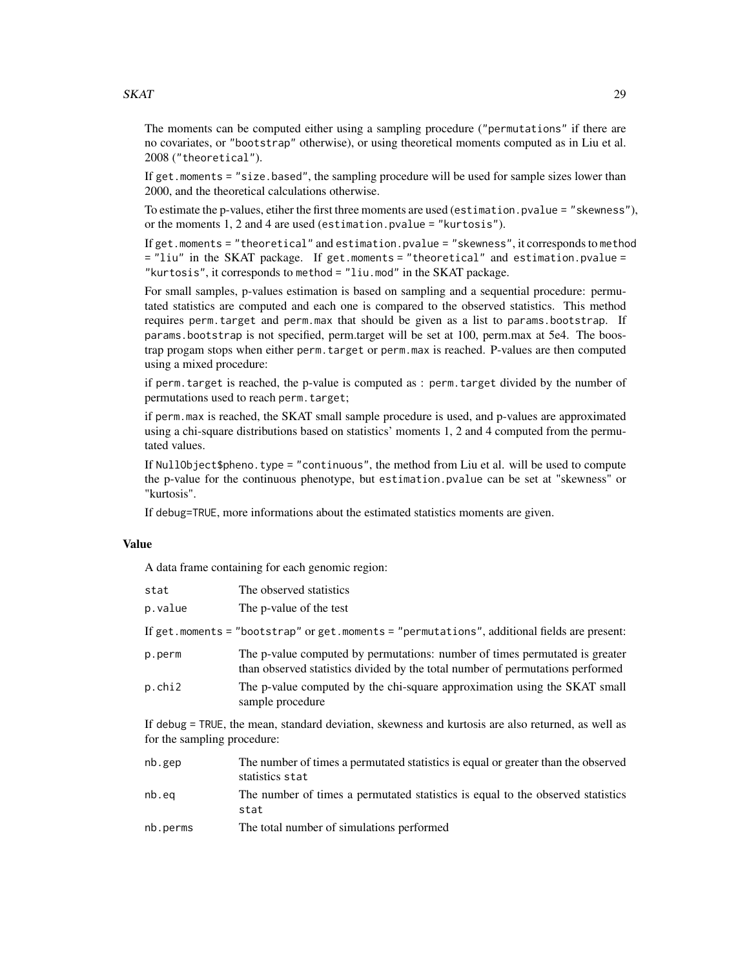### $SKAT$  29

The moments can be computed either using a sampling procedure ("permutations" if there are no covariates, or "bootstrap" otherwise), or using theoretical moments computed as in Liu et al. 2008 ("theoretical").

If get.moments = "size.based", the sampling procedure will be used for sample sizes lower than 2000, and the theoretical calculations otherwise.

To estimate the p-values, etiher the first three moments are used (estimation.pvalue = "skewness"), or the moments 1, 2 and 4 are used (estimation.pvalue = "kurtosis").

If get.moments = "theoretical" and estimation.pvalue = "skewness", it corresponds to method = "liu" in the SKAT package. If get.moments = "theoretical" and estimation.pvalue = "kurtosis", it corresponds to method = "liu.mod" in the SKAT package.

For small samples, p-values estimation is based on sampling and a sequential procedure: permutated statistics are computed and each one is compared to the observed statistics. This method requires perm.target and perm.max that should be given as a list to params.bootstrap. If params.bootstrap is not specified, perm.target will be set at 100, perm.max at 5e4. The boostrap progam stops when either perm.target or perm.max is reached. P-values are then computed using a mixed procedure:

if perm.target is reached, the p-value is computed as : perm.target divided by the number of permutations used to reach perm.target;

if perm.max is reached, the SKAT small sample procedure is used, and p-values are approximated using a chi-square distributions based on statistics' moments 1, 2 and 4 computed from the permutated values.

If NullObject\$pheno.type = "continuous", the method from Liu et al. will be used to compute the p-value for the continuous phenotype, but estimation.pvalue can be set at "skewness" or "kurtosis".

If debug=TRUE, more informations about the estimated statistics moments are given.

### Value

A data frame containing for each genomic region:

| stat    | The observed statistics                                                                                                                                       |
|---------|---------------------------------------------------------------------------------------------------------------------------------------------------------------|
| p.value | The p-value of the test                                                                                                                                       |
|         | If get.moments = "bootstrap" or get.moments = "permutations", additional fields are present:                                                                  |
| p.perm  | The p-value computed by permutations: number of times permutated is greater<br>than observed statistics divided by the total number of permutations performed |
| p.chi2  | The p-value computed by the chi-square approximation using the SKAT small<br>sample procedure                                                                 |

If debug = TRUE, the mean, standard deviation, skewness and kurtosis are also returned, as well as for the sampling procedure:

| nb.gep   | The number of times a permutated statistics is equal or greater than the observed<br>statistics stat |
|----------|------------------------------------------------------------------------------------------------------|
| nb.eq    | The number of times a permutated statistics is equal to the observed statistics<br>stat              |
| nb.perms | The total number of simulations performed                                                            |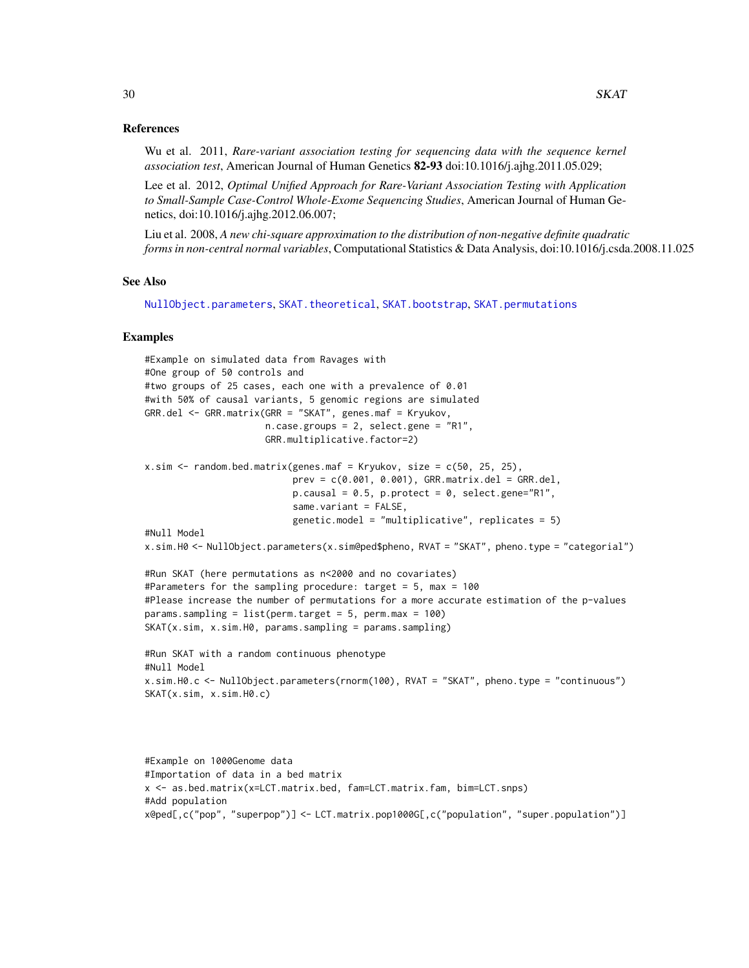### References

Wu et al. 2011, *Rare-variant association testing for sequencing data with the sequence kernel association test*, American Journal of Human Genetics 82-93 doi:10.1016/j.ajhg.2011.05.029;

Lee et al. 2012, *Optimal Unified Approach for Rare-Variant Association Testing with Application to Small-Sample Case-Control Whole-Exome Sequencing Studies*, American Journal of Human Genetics, doi:10.1016/j.ajhg.2012.06.007;

Liu et al. 2008, *A new chi-square approximation to the distribution of non-negative definite quadratic forms in non-central normal variables*, Computational Statistics & Data Analysis, doi:10.1016/j.csda.2008.11.025

#### See Also

[NullObject.parameters](#page-19-1), [SKAT.theoretical](#page-37-1), [SKAT.bootstrap](#page-30-1), [SKAT.permutations](#page-34-1)

```
#Example on simulated data from Ravages with
#One group of 50 controls and
#two groups of 25 cases, each one with a prevalence of 0.01
#with 50% of causal variants, 5 genomic regions are simulated
GRR.del <- GRR.matrix(GRR = "SKAT", genes.maf = Kryukov,
                      n.case.groups = 2, select.gene = "R1",
                      GRR.multiplicative.factor=2)
x.sim \leq random.bed.matrix(genes.maf = Kryukov, size = c(50, 25, 25),
                           prev = c(0.001, 0.001), GRR_matrix.de1 = GRR.de1,p.causal = 0.5, p.protect = 0, select.gene="R1",
                           same.variant = FALSE,
                           genetic.model = "multiplicative", replicates = 5)
#Null Model
x.sim.H0 <- NullObject.parameters(x.sim@ped$pheno, RVAT = "SKAT", pheno.type = "categorial")
#Run SKAT (here permutations as n<2000 and no covariates)
#Parameters for the sampling procedure: target = 5, max = 100
#Please increase the number of permutations for a more accurate estimation of the p-values
params.sampling = list(perm.target = 5, perm.max = 100)
SKAT(x.sim, x.sim.H0, params.sampling = params.sampling)
#Run SKAT with a random continuous phenotype
#Null Model
x.sim.H0.c <- NullObject.parameters(rnorm(100), RVAT = "SKAT", pheno.type = "continuous")
SKAT(x.sim, x.sim.H0.c)
```

```
#Example on 1000Genome data
#Importation of data in a bed matrix
x <- as.bed.matrix(x=LCT.matrix.bed, fam=LCT.matrix.fam, bim=LCT.snps)
#Add population
x@ped[,c("pop", "superpop")] <- LCT.matrix.pop1000G[,c("population", "super.population")]
```
<span id="page-29-0"></span>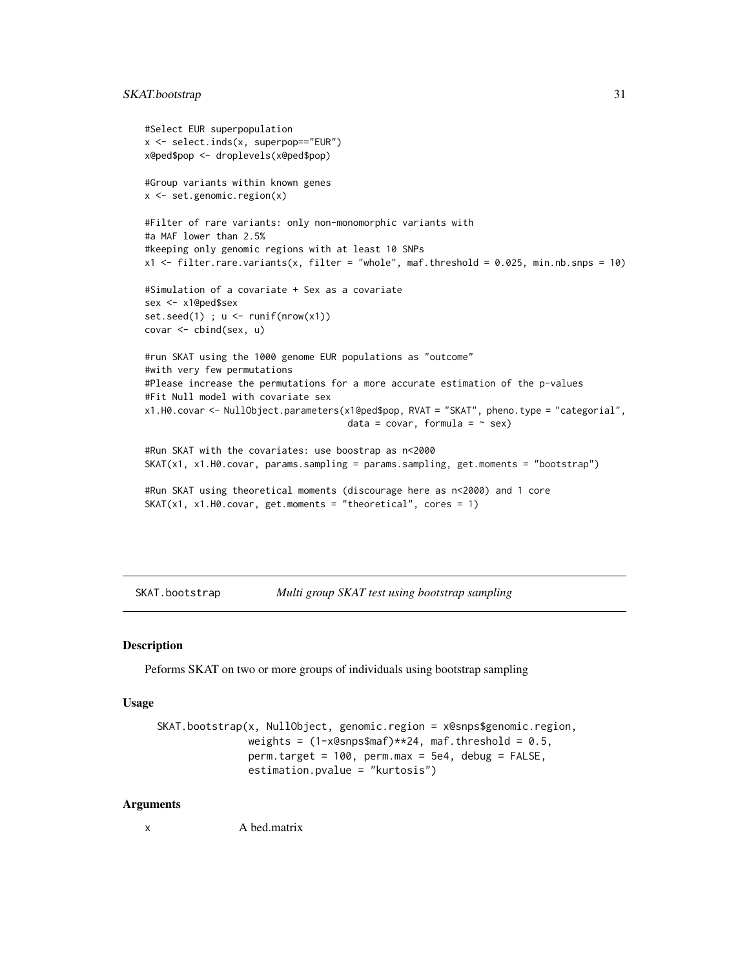### <span id="page-30-0"></span>SKAT.bootstrap 31

```
#Select EUR superpopulation
x <- select.inds(x, superpop=="EUR")
x@ped$pop <- droplevels(x@ped$pop)
#Group variants within known genes
x <- set.genomic.region(x)
#Filter of rare variants: only non-monomorphic variants with
#a MAF lower than 2.5%
#keeping only genomic regions with at least 10 SNPs
x1 <- filter.rare.variants(x, filter = "whole", maf.threshold = 0.025, min.nb.snps = 10)
#Simulation of a covariate + Sex as a covariate
sex <- x1@ped$sex
set.seed(1) ; u \leftarrow runif(nrow(x1))covar <- cbind(sex, u)
#run SKAT using the 1000 genome EUR populations as "outcome"
#with very few permutations
#Please increase the permutations for a more accurate estimation of the p-values
#Fit Null model with covariate sex
x1.H0.covar <- NullObject.parameters(x1@ped$pop, RVAT = "SKAT", pheno.type = "categorial",
                                     data = covar, formula = \sim sex)
#Run SKAT with the covariates: use boostrap as n<2000
SKAT(x1, x1.H0.covar, params.sampling = params.sampling, get.moments = "bootstrap")
#Run SKAT using theoretical moments (discourage here as n<2000) and 1 core
SKAT(x1, x1.H0.covar, get.moments = "theoretical", cores = 1)
```

```
SKAT.bootstrap Multi group SKAT test using bootstrap sampling
```
### Description

Peforms SKAT on two or more groups of individuals using bootstrap sampling

#### Usage

```
SKAT.bootstrap(x, NullObject, genomic.region = x@snps$genomic.region,
               weights = (1-x \& \text{snps}\maf)**24, maf.threshold = 0.5,
               perm.target = 100, perm.max = 5e4, debug = FALSE,
               estimation.pvalue = "kurtosis")
```
#### Arguments

x A bed.matrix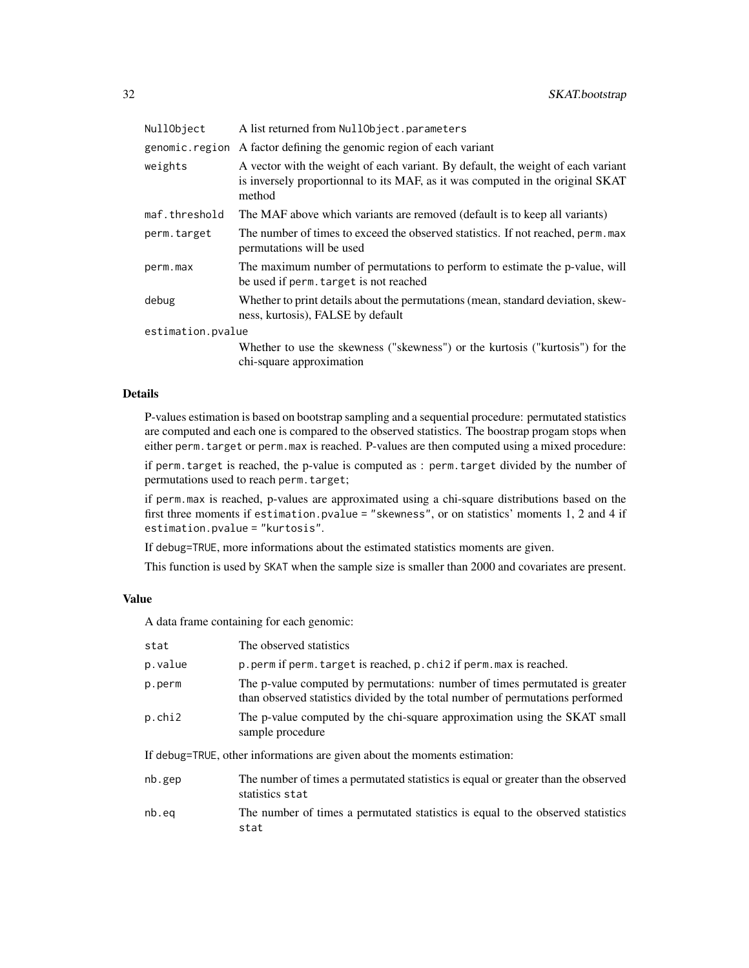| NullObject        | A list returned from NullObject.parameters                                                                                                                                   |  |
|-------------------|------------------------------------------------------------------------------------------------------------------------------------------------------------------------------|--|
| genomic.region    | A factor defining the genomic region of each variant                                                                                                                         |  |
| weights           | A vector with the weight of each variant. By default, the weight of each variant<br>is inversely proportionnal to its MAF, as it was computed in the original SKAT<br>method |  |
| maf.threshold     | The MAF above which variants are removed (default is to keep all variants)                                                                                                   |  |
| perm.target       | The number of times to exceed the observed statistics. If not reached, perm. max<br>permutations will be used                                                                |  |
| perm.max          | The maximum number of permutations to perform to estimate the p-value, will<br>be used if perm. target is not reached                                                        |  |
| debug             | Whether to print details about the permutations (mean, standard deviation, skew-<br>ness, kurtosis), FALSE by default                                                        |  |
| estimation.pvalue |                                                                                                                                                                              |  |
|                   | Whether to use the skewness ("skewness") or the kurtosis ("kurtosis") for the<br>chi-square approximation                                                                    |  |

#### Details

P-values estimation is based on bootstrap sampling and a sequential procedure: permutated statistics are computed and each one is compared to the observed statistics. The boostrap progam stops when either perm.target or perm.max is reached. P-values are then computed using a mixed procedure:

if perm.target is reached, the p-value is computed as : perm.target divided by the number of permutations used to reach perm.target;

if perm.max is reached, p-values are approximated using a chi-square distributions based on the first three moments if estimation.pvalue = "skewness", or on statistics' moments 1, 2 and 4 if estimation.pvalue = "kurtosis".

If debug=TRUE, more informations about the estimated statistics moments are given.

This function is used by SKAT when the sample size is smaller than 2000 and covariates are present.

### Value

A data frame containing for each genomic:

| The observed statistics                                                                                                                                       |  |  |
|---------------------------------------------------------------------------------------------------------------------------------------------------------------|--|--|
| p.perm if perm.target is reached, p.chi2 if perm.max is reached.                                                                                              |  |  |
| The p-value computed by permutations: number of times permutated is greater<br>than observed statistics divided by the total number of permutations performed |  |  |
| The p-value computed by the chi-square approximation using the SKAT small<br>sample procedure                                                                 |  |  |
| If debug=TRUE, other informations are given about the moments estimation:                                                                                     |  |  |
| The number of times a permutated statistics is equal or greater than the observed<br>statistics stat                                                          |  |  |
| The number of times a permutated statistics is equal to the observed statistics<br>stat                                                                       |  |  |
|                                                                                                                                                               |  |  |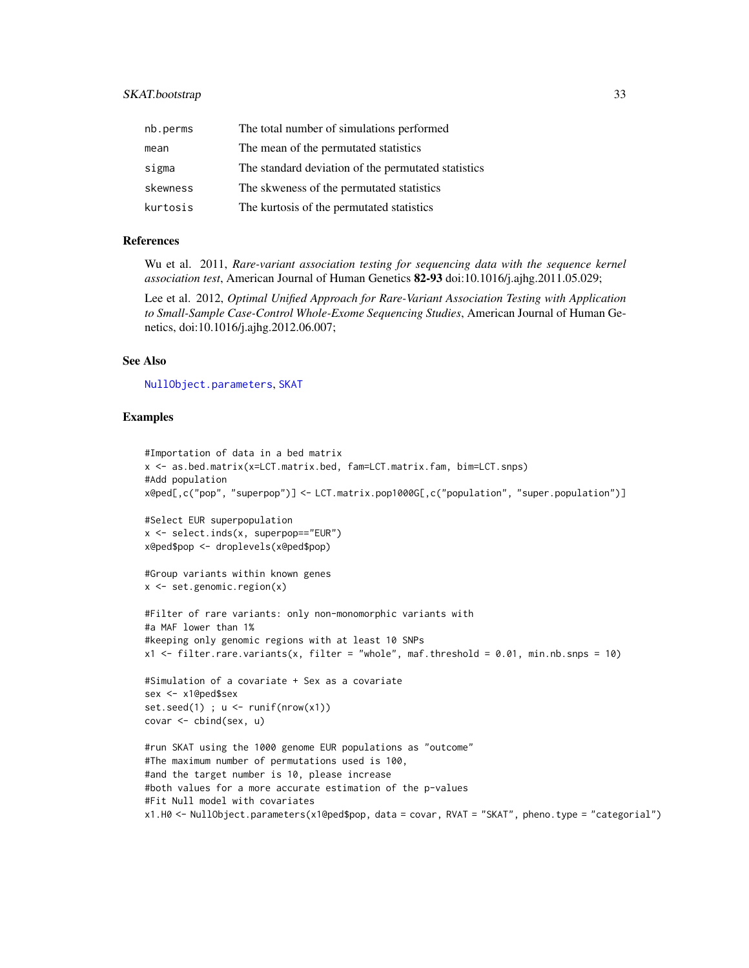### <span id="page-32-0"></span>SKAT.bootstrap 33

| nb.perms | The total number of simulations performed           |
|----------|-----------------------------------------------------|
| mean     | The mean of the permutated statistics               |
| sigma    | The standard deviation of the permutated statistics |
| skewness | The skweness of the permutated statistics           |
| kurtosis | The kurtosis of the permutated statistics           |

### References

Wu et al. 2011, *Rare-variant association testing for sequencing data with the sequence kernel association test*, American Journal of Human Genetics 82-93 doi:10.1016/j.ajhg.2011.05.029;

Lee et al. 2012, *Optimal Unified Approach for Rare-Variant Association Testing with Application to Small-Sample Case-Control Whole-Exome Sequencing Studies*, American Journal of Human Genetics, doi:10.1016/j.ajhg.2012.06.007;

#### See Also

[NullObject.parameters](#page-19-1), [SKAT](#page-27-1)

```
#Importation of data in a bed matrix
x <- as.bed.matrix(x=LCT.matrix.bed, fam=LCT.matrix.fam, bim=LCT.snps)
#Add population
x@ped[,c("pop", "superpop")] <- LCT.matrix.pop1000G[,c("population", "super.population")]
#Select EUR superpopulation
x <- select.inds(x, superpop=="EUR")
x@ped$pop <- droplevels(x@ped$pop)
#Group variants within known genes
x \le - set.genomic.region(x)
#Filter of rare variants: only non-monomorphic variants with
#a MAF lower than 1%
#keeping only genomic regions with at least 10 SNPs
x1 <- filter.rare.variants(x, filter = "whole", maf.threshold = 0.01, min.nb.snps = 10)
#Simulation of a covariate + Sex as a covariate
sex <- x1@ped$sex
set.seed(1); u \leftarrow runif(nrow(x1))covar <- cbind(sex, u)
#run SKAT using the 1000 genome EUR populations as "outcome"
#The maximum number of permutations used is 100,
#and the target number is 10, please increase
#both values for a more accurate estimation of the p-values
#Fit Null model with covariates
x1.H0 <- NullObject.parameters(x1@ped$pop, data = covar, RVAT = "SKAT", pheno.type = "categorial")
```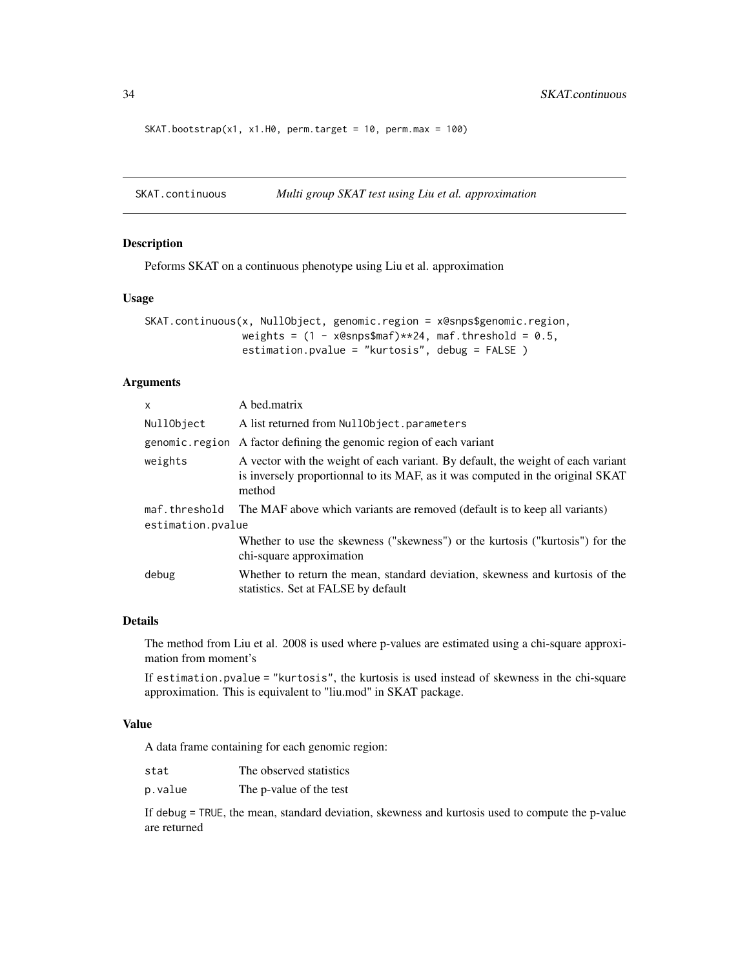```
SKAT.bootstrap(x1, x1.H0, perm.target = 10, perm.max = 100)
```
SKAT.continuous *Multi group SKAT test using Liu et al. approximation*

### Description

Peforms SKAT on a continuous phenotype using Liu et al. approximation

### Usage

```
SKAT.continuous(x, NullObject, genomic.region = x@snps$genomic.region,
                weights = (1 - x@snps$maf)*x24, maf.threshold = 0.5,
                estimation.pvalue = "kurtosis", debug = FALSE )
```
### Arguments

| X                                  | A bed.matrix                                                                                                                                                                 |
|------------------------------------|------------------------------------------------------------------------------------------------------------------------------------------------------------------------------|
| NullObject                         | A list returned from NullObject.parameters                                                                                                                                   |
|                                    | genomic. region A factor defining the genomic region of each variant                                                                                                         |
| weights                            | A vector with the weight of each variant. By default, the weight of each variant<br>is inversely proportionnal to its MAF, as it was computed in the original SKAT<br>method |
| maf.threshold<br>estimation.pvalue | The MAF above which variants are removed (default is to keep all variants)                                                                                                   |
|                                    | Whether to use the skewness ("skewness") or the kurtosis ("kurtosis") for the<br>chi-square approximation                                                                    |
| debug                              | Whether to return the mean, standard deviation, skewness and kurtosis of the<br>statistics. Set at FALSE by default                                                          |

### Details

The method from Liu et al. 2008 is used where p-values are estimated using a chi-square approximation from moment's

If estimation.pvalue = "kurtosis", the kurtosis is used instead of skewness in the chi-square approximation. This is equivalent to "liu.mod" in SKAT package.

### Value

A data frame containing for each genomic region:

| stat    | The observed statistics |
|---------|-------------------------|
| p.value | The p-value of the test |

If debug = TRUE, the mean, standard deviation, skewness and kurtosis used to compute the p-value are returned

<span id="page-33-0"></span>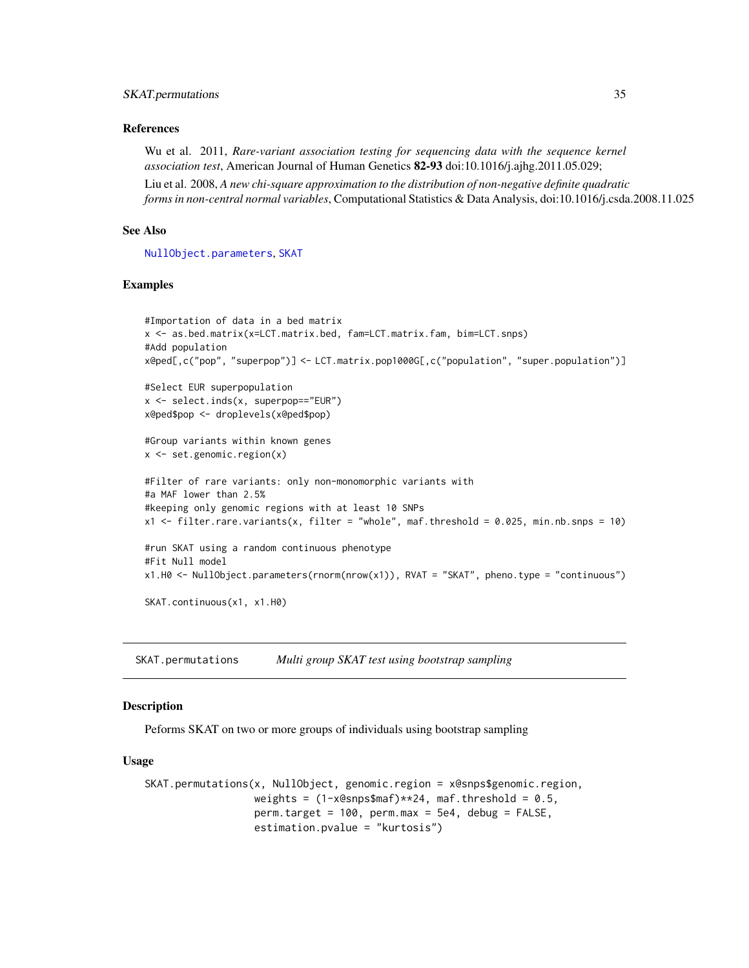#### <span id="page-34-0"></span>SKAT.permutations 35

#### References

Wu et al. 2011, *Rare-variant association testing for sequencing data with the sequence kernel association test*, American Journal of Human Genetics 82-93 doi:10.1016/j.ajhg.2011.05.029;

Liu et al. 2008, *A new chi-square approximation to the distribution of non-negative definite quadratic forms in non-central normal variables*, Computational Statistics & Data Analysis, doi:10.1016/j.csda.2008.11.025

#### See Also

[NullObject.parameters](#page-19-1), [SKAT](#page-27-1)

#### Examples

```
#Importation of data in a bed matrix
x <- as.bed.matrix(x=LCT.matrix.bed, fam=LCT.matrix.fam, bim=LCT.snps)
#Add population
x@ped[,c("pop", "superpop")] <- LCT.matrix.pop1000G[,c("population", "super.population")]
#Select EUR superpopulation
x <- select.inds(x, superpop=="EUR")
x@ped$pop <- droplevels(x@ped$pop)
#Group variants within known genes
x \leftarrow set.genomic.region(x)
#Filter of rare variants: only non-monomorphic variants with
#a MAF lower than 2.5%
#keeping only genomic regions with at least 10 SNPs
x1 <- filter.rare.variants(x, filter = "whole", maf.threshold = 0.025, min.nb.snps = 10)
#run SKAT using a random continuous phenotype
#Fit Null model
x1.H0 <- NullObject.parameters(rnorm(nrow(x1)), RVAT = "SKAT", pheno.type = "continuous")
SKAT.continuous(x1, x1.H0)
```
<span id="page-34-1"></span>SKAT.permutations *Multi group SKAT test using bootstrap sampling*

#### Description

Peforms SKAT on two or more groups of individuals using bootstrap sampling

#### Usage

```
SKAT.permutations(x, NullObject, genomic.region = x@snps$genomic.region,
                  weights = (1-x)esnps$maf)**24, maf.threshold = 0.5,
                  perm.target = 100, perm.max = 5e4, debug = FALSE,
                  estimation.pvalue = "kurtosis")
```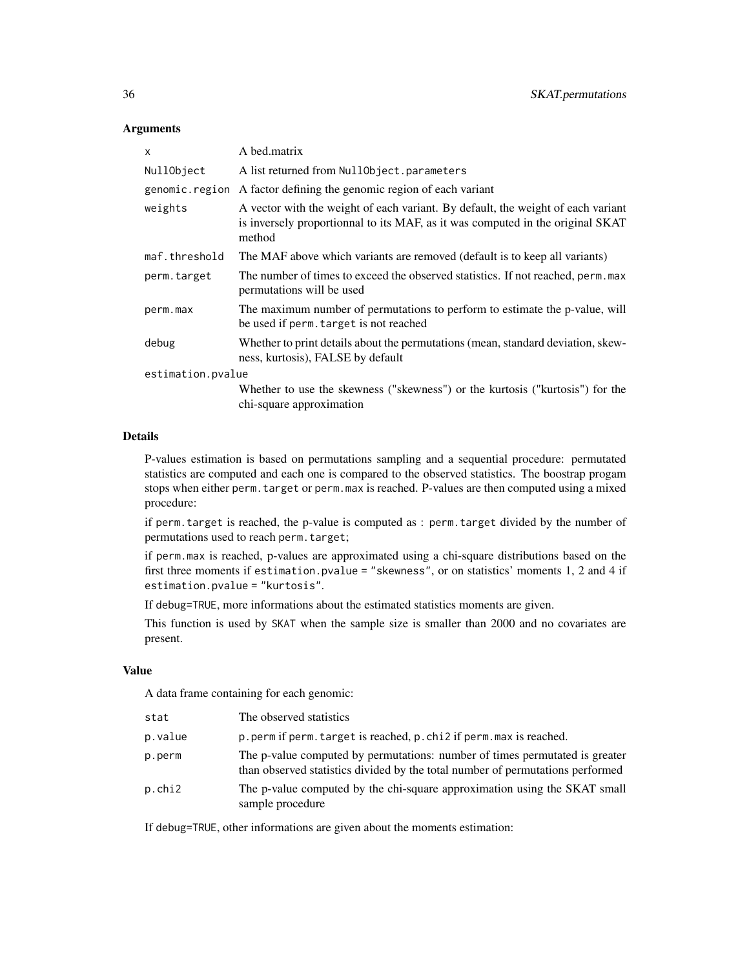#### **Arguments**

| X                 | A bed.matrix                                                                                                                                                                 |  |
|-------------------|------------------------------------------------------------------------------------------------------------------------------------------------------------------------------|--|
| NullObject        | A list returned from NullObject.parameters                                                                                                                                   |  |
|                   | genomic. region A factor defining the genomic region of each variant                                                                                                         |  |
| weights           | A vector with the weight of each variant. By default, the weight of each variant<br>is inversely proportionnal to its MAF, as it was computed in the original SKAT<br>method |  |
| maf.threshold     | The MAF above which variants are removed (default is to keep all variants)                                                                                                   |  |
| perm.target       | The number of times to exceed the observed statistics. If not reached, perm. max<br>permutations will be used                                                                |  |
| perm.max          | The maximum number of permutations to perform to estimate the p-value, will<br>be used if perm. target is not reached                                                        |  |
| debug             | Whether to print details about the permutations (mean, standard deviation, skew-<br>ness, kurtosis), FALSE by default                                                        |  |
| estimation.pvalue |                                                                                                                                                                              |  |
|                   | Whether to use the skewness ("skewness") or the kurtosis ("kurtosis") for the<br>chi-square approximation                                                                    |  |

#### Details

P-values estimation is based on permutations sampling and a sequential procedure: permutated statistics are computed and each one is compared to the observed statistics. The boostrap progam stops when either perm.target or perm.max is reached. P-values are then computed using a mixed procedure:

if perm.target is reached, the p-value is computed as : perm.target divided by the number of permutations used to reach perm.target;

if perm.max is reached, p-values are approximated using a chi-square distributions based on the first three moments if estimation.pvalue = "skewness", or on statistics' moments 1, 2 and 4 if estimation.pvalue = "kurtosis".

If debug=TRUE, more informations about the estimated statistics moments are given.

This function is used by SKAT when the sample size is smaller than 2000 and no covariates are present.

#### Value

A data frame containing for each genomic:

| stat    | The observed statistics                                                                                                                                       |
|---------|---------------------------------------------------------------------------------------------------------------------------------------------------------------|
| p.value | p, perm if perm, target is reached, p, chi2 if perm, max is reached.                                                                                          |
| p.perm  | The p-value computed by permutations: number of times permutated is greater<br>than observed statistics divided by the total number of permutations performed |
| p.chi2  | The p-value computed by the chi-square approximation using the SKAT small<br>sample procedure                                                                 |

If debug=TRUE, other informations are given about the moments estimation: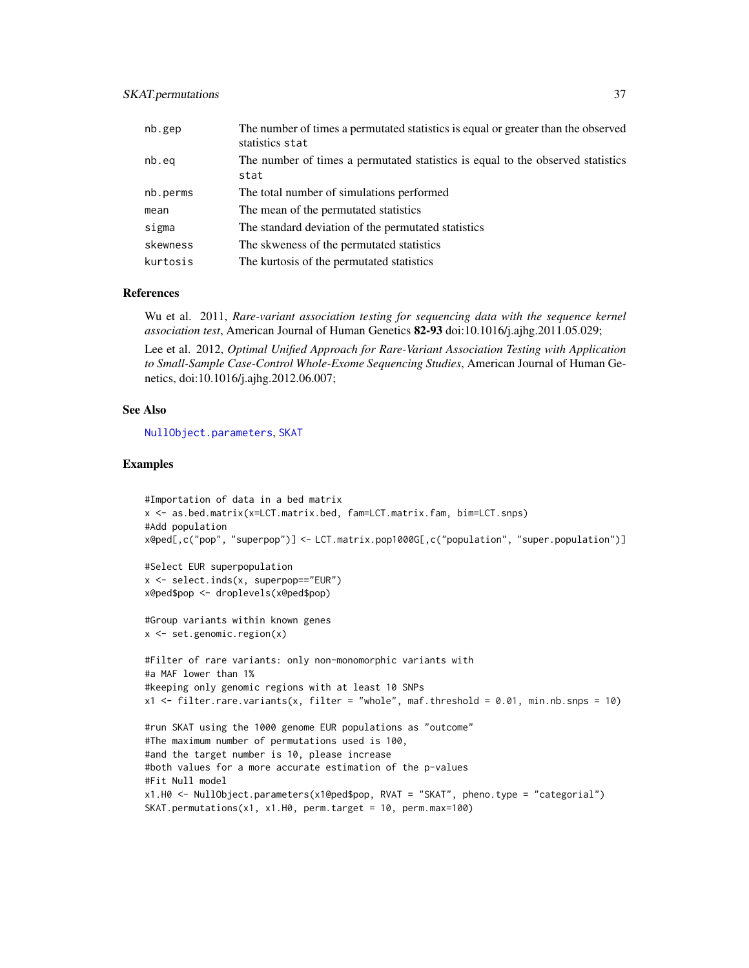### <span id="page-36-0"></span>SKAT.permutations 37

| nb.gep   | The number of times a permutated statistics is equal or greater than the observed<br>statistics stat |
|----------|------------------------------------------------------------------------------------------------------|
| nb.eq    | The number of times a permutated statistics is equal to the observed statistics<br>stat              |
| nb.perms | The total number of simulations performed                                                            |
| mean     | The mean of the permutated statistics                                                                |
| sigma    | The standard deviation of the permutated statistics                                                  |
| skewness | The skweness of the permutated statistics                                                            |
| kurtosis | The kurtosis of the permutated statistics                                                            |

#### References

Wu et al. 2011, *Rare-variant association testing for sequencing data with the sequence kernel association test*, American Journal of Human Genetics 82-93 doi:10.1016/j.ajhg.2011.05.029;

Lee et al. 2012, *Optimal Unified Approach for Rare-Variant Association Testing with Application to Small-Sample Case-Control Whole-Exome Sequencing Studies*, American Journal of Human Genetics, doi:10.1016/j.ajhg.2012.06.007;

#### See Also

[NullObject.parameters](#page-19-1), [SKAT](#page-27-1)

```
#Importation of data in a bed matrix
x <- as.bed.matrix(x=LCT.matrix.bed, fam=LCT.matrix.fam, bim=LCT.snps)
#Add population
x@ped[,c("pop", "superpop")] <- LCT.matrix.pop1000G[,c("population", "super.population")]
```

```
#Select EUR superpopulation
x <- select.inds(x, superpop=="EUR")
x@ped$pop <- droplevels(x@ped$pop)
```

```
#Group variants within known genes
x <- set.genomic.region(x)
```

```
#Filter of rare variants: only non-monomorphic variants with
#a MAF lower than 1%
#keeping only genomic regions with at least 10 SNPs
x1 <- filter.rare.variants(x, filter = "whole", maf.threshold = 0.01, min.nb.snps = 10)
```

```
#run SKAT using the 1000 genome EUR populations as "outcome"
#The maximum number of permutations used is 100,
#and the target number is 10, please increase
#both values for a more accurate estimation of the p-values
#Fit Null model
x1.H0 <- NullObject.parameters(x1@ped$pop, RVAT = "SKAT", pheno.type = "categorial")
SKAT.permutations(x1, x1.H0, perm.target = 10, perm.max=100)
```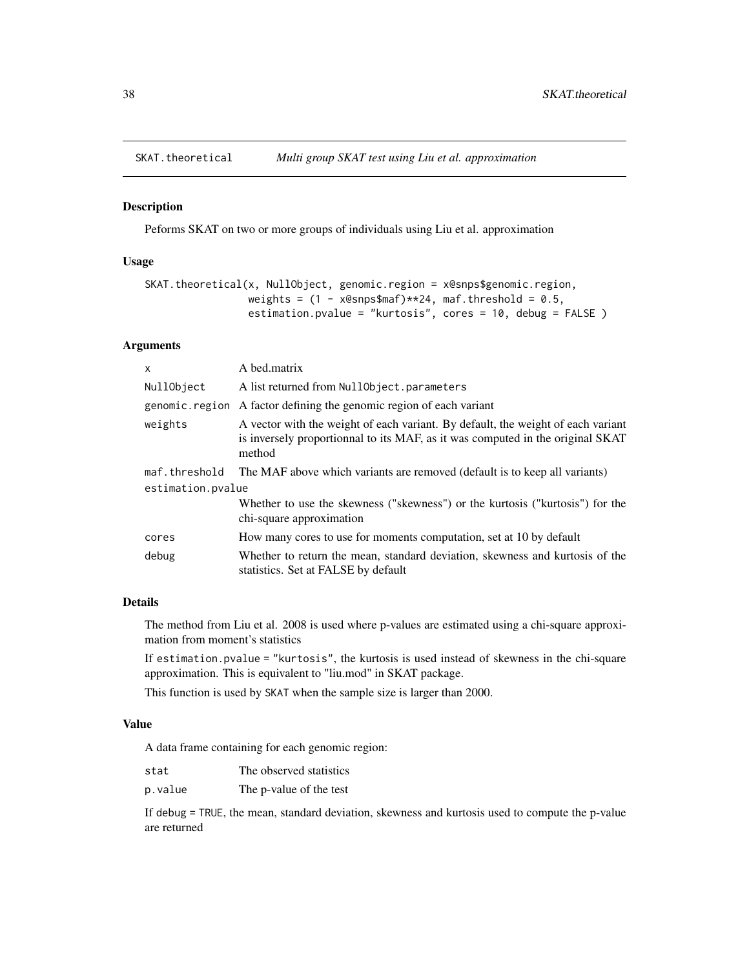<span id="page-37-1"></span><span id="page-37-0"></span>

#### Description

Peforms SKAT on two or more groups of individuals using Liu et al. approximation

#### Usage

```
SKAT.theoretical(x, NullObject, genomic.region = x@snps$genomic.region,
                 weights = (1 - x@snps$maf)*x24, maf.threshold = 0.5,
                 estimation.pvalue = "kurtosis", cores = 10, debug = FALSE )
```
### Arguments

| $\mathsf{x}$      | A bed.matrix                                                                                                                                                                 |  |
|-------------------|------------------------------------------------------------------------------------------------------------------------------------------------------------------------------|--|
| NullObject        | A list returned from NullObject.parameters                                                                                                                                   |  |
| genomic.region    | A factor defining the genomic region of each variant                                                                                                                         |  |
| weights           | A vector with the weight of each variant. By default, the weight of each variant<br>is inversely proportionnal to its MAF, as it was computed in the original SKAT<br>method |  |
| maf.threshold     | The MAF above which variants are removed (default is to keep all variants)                                                                                                   |  |
| estimation.pvalue |                                                                                                                                                                              |  |
|                   | Whether to use the skewness ("skewness") or the kurtosis ("kurtosis") for the<br>chi-square approximation                                                                    |  |
| cores             | How many cores to use for moments computation, set at 10 by default                                                                                                          |  |
| debug             | Whether to return the mean, standard deviation, skewness and kurtosis of the<br>statistics. Set at FALSE by default                                                          |  |

### Details

The method from Liu et al. 2008 is used where p-values are estimated using a chi-square approximation from moment's statistics

If estimation.pvalue = "kurtosis", the kurtosis is used instead of skewness in the chi-square approximation. This is equivalent to "liu.mod" in SKAT package.

This function is used by SKAT when the sample size is larger than 2000.

### Value

A data frame containing for each genomic region:

| stat    | The observed statistics |
|---------|-------------------------|
| p.value | The p-value of the test |

If debug = TRUE, the mean, standard deviation, skewness and kurtosis used to compute the p-value are returned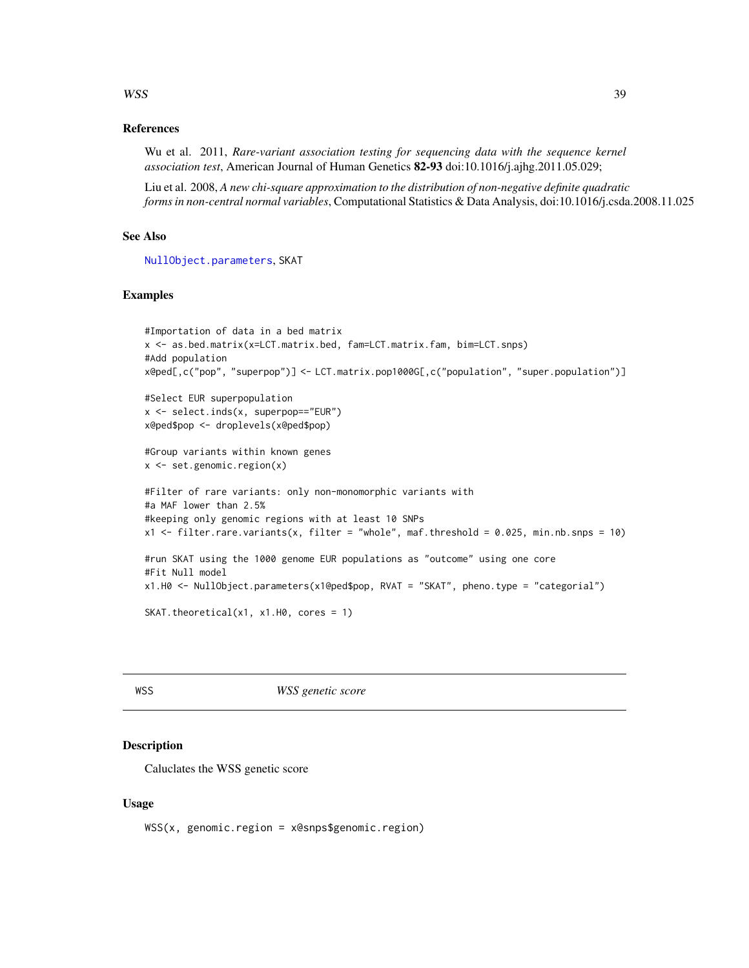#### <span id="page-38-0"></span> $WSS$  39

### References

Wu et al. 2011, *Rare-variant association testing for sequencing data with the sequence kernel association test*, American Journal of Human Genetics 82-93 doi:10.1016/j.ajhg.2011.05.029;

Liu et al. 2008, *A new chi-square approximation to the distribution of non-negative definite quadratic forms in non-central normal variables*, Computational Statistics & Data Analysis, doi:10.1016/j.csda.2008.11.025

## See Also

[NullObject.parameters](#page-19-1), SKAT

#### Examples

```
#Importation of data in a bed matrix
x <- as.bed.matrix(x=LCT.matrix.bed, fam=LCT.matrix.fam, bim=LCT.snps)
#Add population
x@ped[,c("pop", "superpop")] <- LCT.matrix.pop1000G[,c("population", "super.population")]
#Select EUR superpopulation
x <- select.inds(x, superpop=="EUR")
x@ped$pop <- droplevels(x@ped$pop)
#Group variants within known genes
x <- set.genomic.region(x)
#Filter of rare variants: only non-monomorphic variants with
#a MAF lower than 2.5%
#keeping only genomic regions with at least 10 SNPs
x1 <- filter.rare.variants(x, filter = "whole", maf.threshold = 0.025, min.nb.snps = 10)
#run SKAT using the 1000 genome EUR populations as "outcome" using one core
#Fit Null model
x1.H0 <- NullObject.parameters(x1@ped$pop, RVAT = "SKAT", pheno.type = "categorial")
SKAT.theoretical(x1, x1.H0, cores = 1)
```
<span id="page-38-1"></span>WSS *WSS genetic score*

#### Description

Caluclates the WSS genetic score

#### Usage

WSS(x, genomic.region = x@snps\$genomic.region)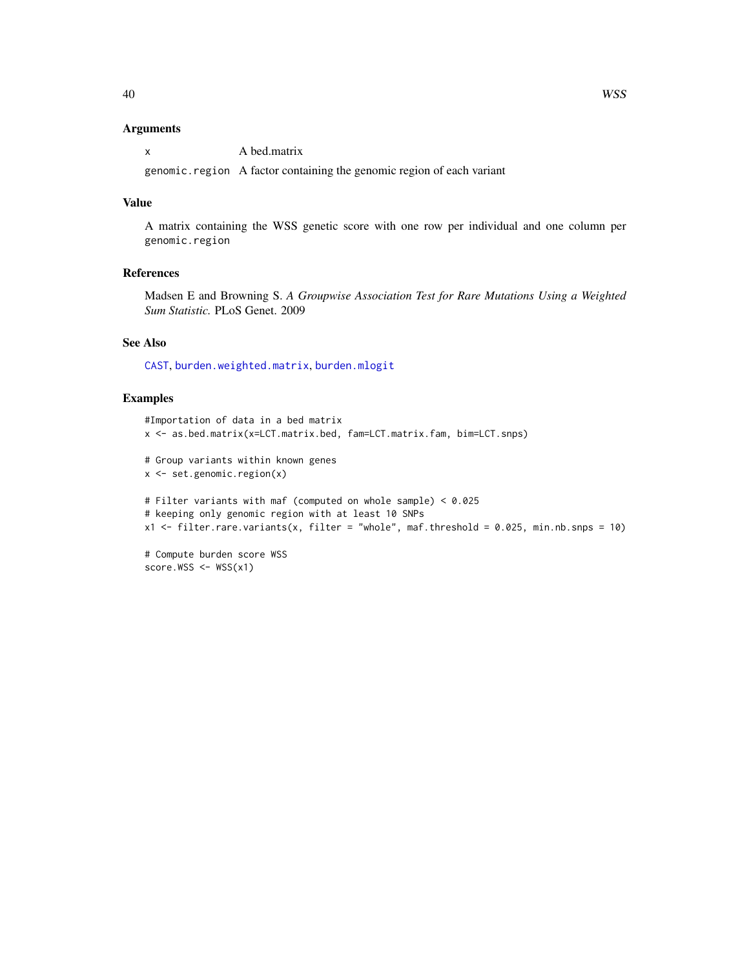#### <span id="page-39-0"></span>Arguments

x A bed.matrix

genomic.region A factor containing the genomic region of each variant

### Value

A matrix containing the WSS genetic score with one row per individual and one column per genomic.region

### References

Madsen E and Browning S. *A Groupwise Association Test for Rare Mutations Using a Weighted Sum Statistic.* PLoS Genet. 2009

### See Also

[CAST](#page-9-1), [burden.weighted.matrix](#page-8-1), [burden.mlogit](#page-6-1)

```
#Importation of data in a bed matrix
x <- as.bed.matrix(x=LCT.matrix.bed, fam=LCT.matrix.fam, bim=LCT.snps)
# Group variants within known genes
x <- set.genomic.region(x)
# Filter variants with maf (computed on whole sample) < 0.025
# keeping only genomic region with at least 10 SNPs
x1 \leftarrow \text{filter.rare.varients}(x, \text{ filter} = "whole", \text{ maf.threshold} = 0.025, \text{ min.nb.snps} = 10)# Compute burden score WSS
score.WSS \leq WSS(x1)
```